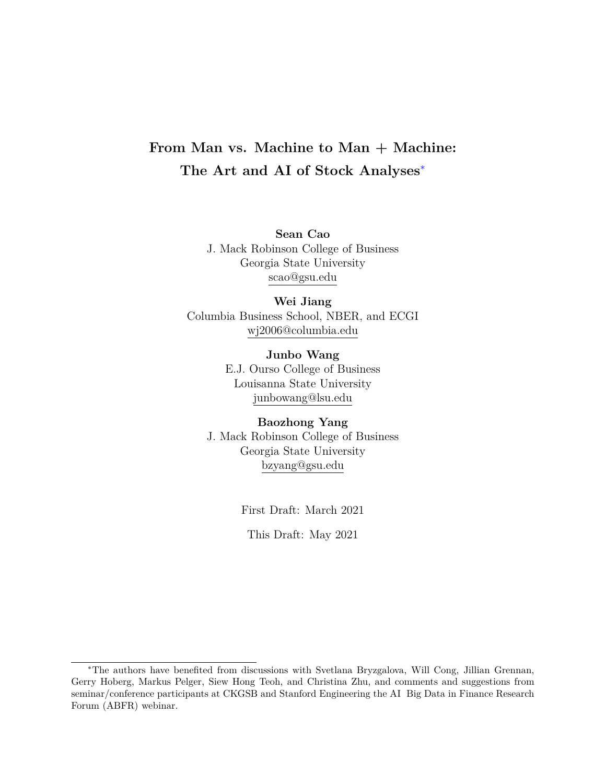# <span id="page-0-0"></span>**From Man vs. Machine to Man + Machine: The Art and AI of Stock Analyses**<sup>∗</sup>

**Sean Cao** J. Mack Robinson College of Business Georgia State University scao@gsu.edu

**Wei Jiang** Columbia Business School, NBER, and ECGI wj2006@columbia.edu

> **Junbo Wang** E.J. Ourso College of Business Louisanna State University junbowang@lsu.edu

**Baozhong Yang** J. Mack Robinson College of Business Georgia State University bzyang@gsu.edu

First Draft: March 2021

This Draft: May 2021

<sup>∗</sup>The authors have benefited from discussions with Svetlana Bryzgalova, Will Cong, Jillian Grennan, Gerry Hoberg, Markus Pelger, Siew Hong Teoh, and Christina Zhu, and comments and suggestions from seminar/conference participants at CKGSB and Stanford Engineering the AI Big Data in Finance Research Forum (ABFR) webinar.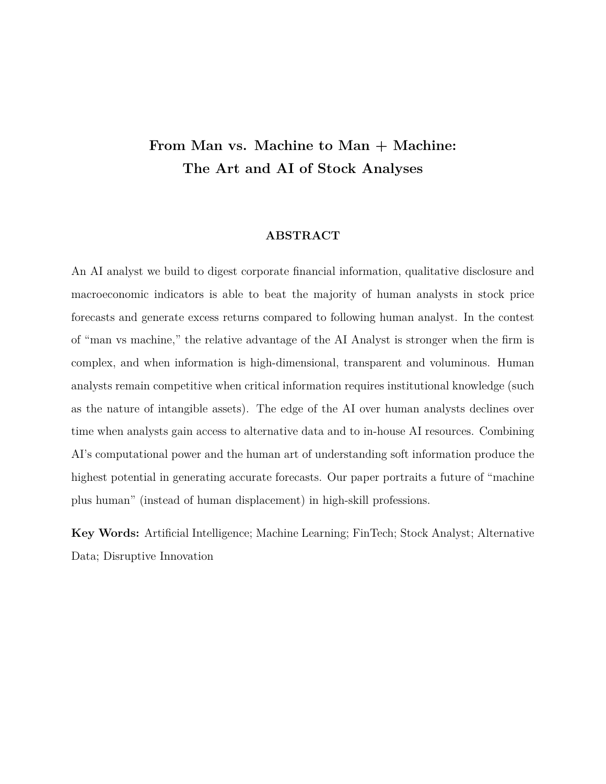# **From Man vs. Machine to Man + Machine: The Art and AI of Stock Analyses**

### **ABSTRACT**

An AI analyst we build to digest corporate financial information, qualitative disclosure and macroeconomic indicators is able to beat the majority of human analysts in stock price forecasts and generate excess returns compared to following human analyst. In the contest of "man vs machine," the relative advantage of the AI Analyst is stronger when the firm is complex, and when information is high-dimensional, transparent and voluminous. Human analysts remain competitive when critical information requires institutional knowledge (such as the nature of intangible assets). The edge of the AI over human analysts declines over time when analysts gain access to alternative data and to in-house AI resources. Combining AI's computational power and the human art of understanding soft information produce the highest potential in generating accurate forecasts. Our paper portraits a future of "machine plus human" (instead of human displacement) in high-skill professions.

**Key Words:** Artificial Intelligence; Machine Learning; FinTech; Stock Analyst; Alternative Data; Disruptive Innovation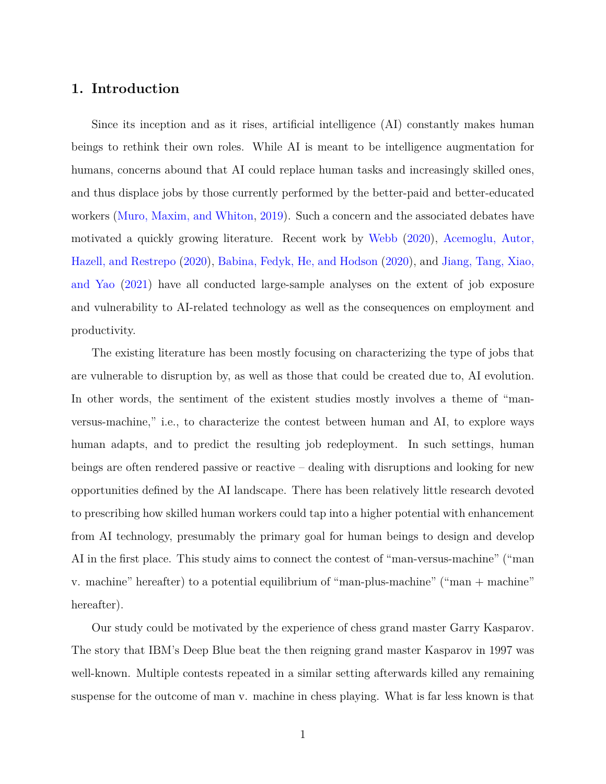# <span id="page-2-0"></span>**1. Introduction**

Since its inception and as it rises, artificial intelligence (AI) constantly makes human beings to rethink their own roles. While AI is meant to be intelligence augmentation for humans, concerns abound that AI could replace human tasks and increasingly skilled ones, and thus displace jobs by those currently performed by the better-paid and better-educated workers [\(Muro, Maxim, and Whiton,](#page-30-0) [2019\)](#page-30-0). Such a concern and the associated debates have motivated a quickly growing literature. Recent work by [Webb](#page-31-0) [\(2020\)](#page-31-0), [Acemoglu, Autor,](#page-26-0) [Hazell, and Restrepo](#page-26-0) [\(2020\)](#page-26-0), [Babina, Fedyk, He, and Hodson](#page-26-1) [\(2020\)](#page-26-1), and [Jiang, Tang, Xiao,](#page-29-0) [and Yao](#page-29-0) [\(2021\)](#page-29-0) have all conducted large-sample analyses on the extent of job exposure and vulnerability to AI-related technology as well as the consequences on employment and productivity.

The existing literature has been mostly focusing on characterizing the type of jobs that are vulnerable to disruption by, as well as those that could be created due to, AI evolution. In other words, the sentiment of the existent studies mostly involves a theme of "manversus-machine," i.e., to characterize the contest between human and AI, to explore ways human adapts, and to predict the resulting job redeployment. In such settings, human beings are often rendered passive or reactive – dealing with disruptions and looking for new opportunities defined by the AI landscape. There has been relatively little research devoted to prescribing how skilled human workers could tap into a higher potential with enhancement from AI technology, presumably the primary goal for human beings to design and develop AI in the first place. This study aims to connect the contest of "man-versus-machine" ("man v. machine" hereafter) to a potential equilibrium of "man-plus-machine" ("man + machine" hereafter).

Our study could be motivated by the experience of chess grand master Garry Kasparov. The story that IBM's Deep Blue beat the then reigning grand master Kasparov in 1997 was well-known. Multiple contests repeated in a similar setting afterwards killed any remaining suspense for the outcome of man v. machine in chess playing. What is far less known is that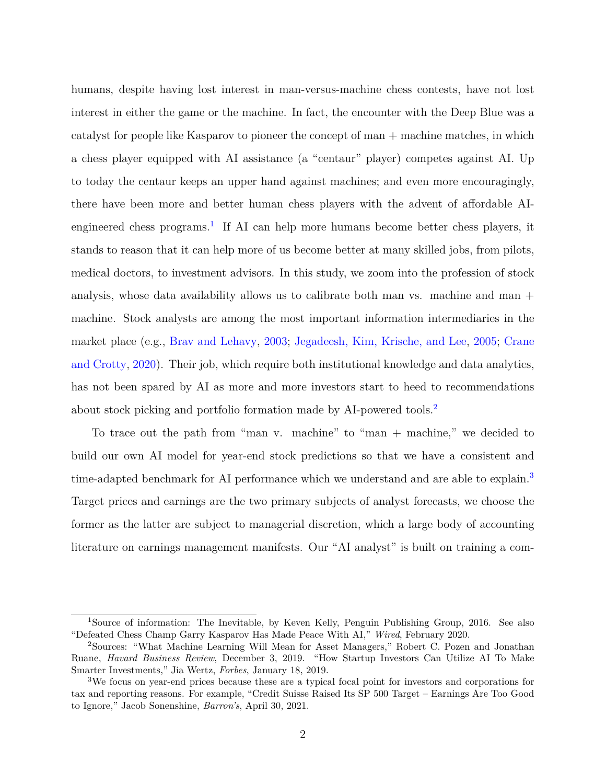humans, despite having lost interest in man-versus-machine chess contests, have not lost interest in either the game or the machine. In fact, the encounter with the Deep Blue was a catalyst for people like Kasparov to pioneer the concept of man + machine matches, in which a chess player equipped with AI assistance (a "centaur" player) competes against AI. Up to today the centaur keeps an upper hand against machines; and even more encouragingly, there have been more and better human chess players with the advent of affordable AI-engineered chess programs.<sup>[1](#page-0-0)</sup> If AI can help more humans become better chess players, it stands to reason that it can help more of us become better at many skilled jobs, from pilots, medical doctors, to investment advisors. In this study, we zoom into the profession of stock analysis, whose data availability allows us to calibrate both man vs. machine and man + machine. Stock analysts are among the most important information intermediaries in the market place (e.g., [Brav and Lehavy,](#page-27-0) [2003;](#page-27-0) [Jegadeesh, Kim, Krische, and Lee,](#page-29-1) [2005;](#page-29-1) [Crane](#page-28-0) [and Crotty,](#page-28-0) [2020\)](#page-28-0). Their job, which require both institutional knowledge and data analytics, has not been spared by AI as more and more investors start to heed to recommendations about stock picking and portfolio formation made by AI-powered tools.[2](#page-0-0)

To trace out the path from "man v. machine" to "man + machine," we decided to build our own AI model for year-end stock predictions so that we have a consistent and time-adapted benchmark for AI performance which we understand and are able to explain.<sup>[3](#page-0-0)</sup> Target prices and earnings are the two primary subjects of analyst forecasts, we choose the former as the latter are subject to managerial discretion, which a large body of accounting literature on earnings management manifests. Our "AI analyst" is built on training a com-

<sup>1</sup>Source of information: The Inevitable, by Keven Kelly, Penguin Publishing Group, 2016. See also "Defeated Chess Champ Garry Kasparov Has Made Peace With AI," *Wired*, February 2020.

<sup>2</sup>Sources: "What Machine Learning Will Mean for Asset Managers," Robert C. Pozen and Jonathan Ruane, *Havard Business Review*, December 3, 2019. "How Startup Investors Can Utilize AI To Make Smarter Investments," Jia Wertz, *Forbes*, January 18, 2019.

<sup>3</sup>We focus on year-end prices because these are a typical focal point for investors and corporations for tax and reporting reasons. For example, "Credit Suisse Raised Its SP 500 Target – Earnings Are Too Good to Ignore," Jacob Sonenshine, *Barron's*, April 30, 2021.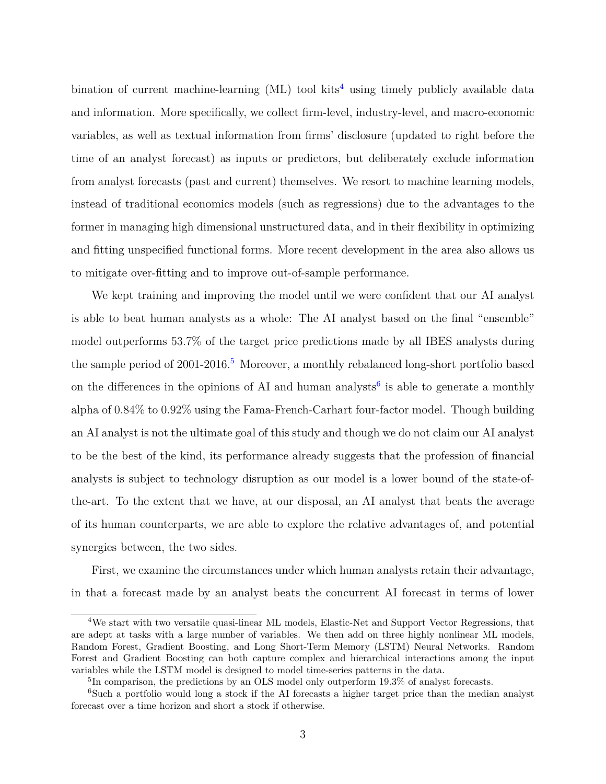bination of current machine-learning  $(ML)$  tool kits<sup>[4](#page-0-0)</sup> using timely publicly available data and information. More specifically, we collect firm-level, industry-level, and macro-economic variables, as well as textual information from firms' disclosure (updated to right before the time of an analyst forecast) as inputs or predictors, but deliberately exclude information from analyst forecasts (past and current) themselves. We resort to machine learning models, instead of traditional economics models (such as regressions) due to the advantages to the former in managing high dimensional unstructured data, and in their flexibility in optimizing and fitting unspecified functional forms. More recent development in the area also allows us to mitigate over-fitting and to improve out-of-sample performance.

We kept training and improving the model until we were confident that our AI analyst is able to beat human analysts as a whole: The AI analyst based on the final "ensemble" model outperforms 53.7% of the target price predictions made by all IBES analysts during the sample period of 2001-2016.<sup>[5](#page-0-0)</sup> Moreover, a monthly rebalanced long-short portfolio based on the differences in the opinions of AI and human analysts<sup>[6](#page-0-0)</sup> is able to generate a monthly alpha of 0.84% to 0.92% using the Fama-French-Carhart four-factor model. Though building an AI analyst is not the ultimate goal of this study and though we do not claim our AI analyst to be the best of the kind, its performance already suggests that the profession of financial analysts is subject to technology disruption as our model is a lower bound of the state-ofthe-art. To the extent that we have, at our disposal, an AI analyst that beats the average of its human counterparts, we are able to explore the relative advantages of, and potential synergies between, the two sides.

First, we examine the circumstances under which human analysts retain their advantage, in that a forecast made by an analyst beats the concurrent AI forecast in terms of lower

<sup>4</sup>We start with two versatile quasi-linear ML models, Elastic-Net and Support Vector Regressions, that are adept at tasks with a large number of variables. We then add on three highly nonlinear ML models, Random Forest, Gradient Boosting, and Long Short-Term Memory (LSTM) Neural Networks. Random Forest and Gradient Boosting can both capture complex and hierarchical interactions among the input variables while the LSTM model is designed to model time-series patterns in the data.

<sup>&</sup>lt;sup>5</sup>In comparison, the predictions by an OLS model only outperform 19.3% of analyst forecasts.

<sup>&</sup>lt;sup>6</sup>Such a portfolio would long a stock if the AI forecasts a higher target price than the median analyst forecast over a time horizon and short a stock if otherwise.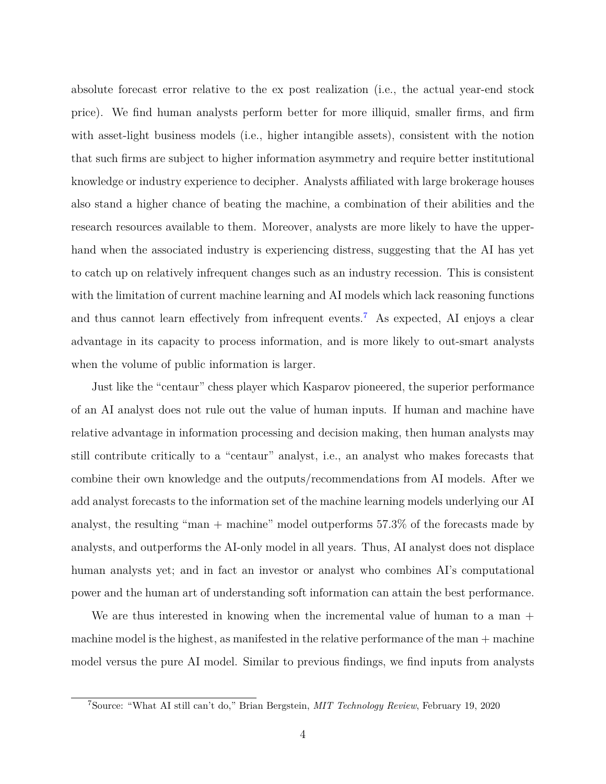absolute forecast error relative to the ex post realization (i.e., the actual year-end stock price). We find human analysts perform better for more illiquid, smaller firms, and firm with asset-light business models (i.e., higher intangible assets), consistent with the notion that such firms are subject to higher information asymmetry and require better institutional knowledge or industry experience to decipher. Analysts affiliated with large brokerage houses also stand a higher chance of beating the machine, a combination of their abilities and the research resources available to them. Moreover, analysts are more likely to have the upperhand when the associated industry is experiencing distress, suggesting that the AI has yet to catch up on relatively infrequent changes such as an industry recession. This is consistent with the limitation of current machine learning and AI models which lack reasoning functions and thus cannot learn effectively from infrequent events.<sup>[7](#page-0-0)</sup> As expected, AI enjoys a clear advantage in its capacity to process information, and is more likely to out-smart analysts when the volume of public information is larger.

Just like the "centaur" chess player which Kasparov pioneered, the superior performance of an AI analyst does not rule out the value of human inputs. If human and machine have relative advantage in information processing and decision making, then human analysts may still contribute critically to a "centaur" analyst, i.e., an analyst who makes forecasts that combine their own knowledge and the outputs/recommendations from AI models. After we add analyst forecasts to the information set of the machine learning models underlying our AI analyst, the resulting "man  $+$  machine" model outperforms 57.3% of the forecasts made by analysts, and outperforms the AI-only model in all years. Thus, AI analyst does not displace human analysts yet; and in fact an investor or analyst who combines AI's computational power and the human art of understanding soft information can attain the best performance.

We are thus interested in knowing when the incremental value of human to a man  $+$ machine model is the highest, as manifested in the relative performance of the man + machine model versus the pure AI model. Similar to previous findings, we find inputs from analysts

<sup>7</sup>Source: "What AI still can't do," Brian Bergstein, *MIT Technology Review*, February 19, 2020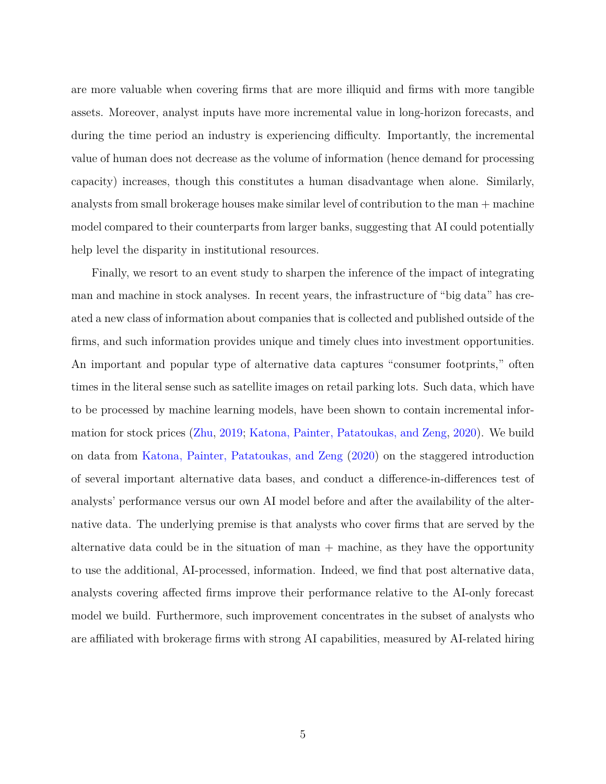are more valuable when covering firms that are more illiquid and firms with more tangible assets. Moreover, analyst inputs have more incremental value in long-horizon forecasts, and during the time period an industry is experiencing difficulty. Importantly, the incremental value of human does not decrease as the volume of information (hence demand for processing capacity) increases, though this constitutes a human disadvantage when alone. Similarly, analysts from small brokerage houses make similar level of contribution to the man + machine model compared to their counterparts from larger banks, suggesting that AI could potentially help level the disparity in institutional resources.

Finally, we resort to an event study to sharpen the inference of the impact of integrating man and machine in stock analyses. In recent years, the infrastructure of "big data" has created a new class of information about companies that is collected and published outside of the firms, and such information provides unique and timely clues into investment opportunities. An important and popular type of alternative data captures "consumer footprints," often times in the literal sense such as satellite images on retail parking lots. Such data, which have to be processed by machine learning models, have been shown to contain incremental information for stock prices [\(Zhu,](#page-31-1) [2019;](#page-31-1) [Katona, Painter, Patatoukas, and Zeng,](#page-29-2) [2020\)](#page-29-2). We build on data from [Katona, Painter, Patatoukas, and Zeng](#page-29-2) [\(2020\)](#page-29-2) on the staggered introduction of several important alternative data bases, and conduct a difference-in-differences test of analysts' performance versus our own AI model before and after the availability of the alternative data. The underlying premise is that analysts who cover firms that are served by the alternative data could be in the situation of man  $+$  machine, as they have the opportunity to use the additional, AI-processed, information. Indeed, we find that post alternative data, analysts covering affected firms improve their performance relative to the AI-only forecast model we build. Furthermore, such improvement concentrates in the subset of analysts who are affiliated with brokerage firms with strong AI capabilities, measured by AI-related hiring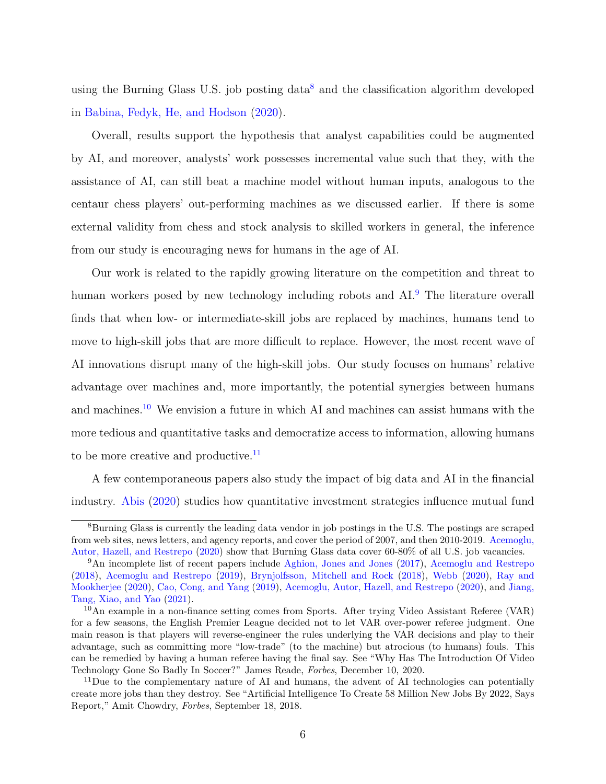using the Burning Glass U.S. job posting data<sup>[8](#page-0-0)</sup> and the classification algorithm developed in [Babina, Fedyk, He, and Hodson](#page-26-1) [\(2020\)](#page-26-1).

Overall, results support the hypothesis that analyst capabilities could be augmented by AI, and moreover, analysts' work possesses incremental value such that they, with the assistance of AI, can still beat a machine model without human inputs, analogous to the centaur chess players' out-performing machines as we discussed earlier. If there is some external validity from chess and stock analysis to skilled workers in general, the inference from our study is encouraging news for humans in the age of AI.

Our work is related to the rapidly growing literature on the competition and threat to human workers posed by new technology including robots and AI.<sup>[9](#page-0-0)</sup> The literature overall finds that when low- or intermediate-skill jobs are replaced by machines, humans tend to move to high-skill jobs that are more difficult to replace. However, the most recent wave of AI innovations disrupt many of the high-skill jobs. Our study focuses on humans' relative advantage over machines and, more importantly, the potential synergies between humans and machines.[10](#page-0-0) We envision a future in which AI and machines can assist humans with the more tedious and quantitative tasks and democratize access to information, allowing humans to be more creative and productive. $11$ 

A few contemporaneous papers also study the impact of big data and AI in the financial industry. [Abis](#page-26-2) [\(2020\)](#page-26-2) studies how quantitative investment strategies influence mutual fund

<sup>8</sup>Burning Glass is currently the leading data vendor in job postings in the U.S. The postings are scraped from web sites, news letters, and agency reports, and cover the period of 2007, and then 2010-2019. [Acemoglu,](#page-26-0) [Autor, Hazell, and Restrepo](#page-26-0) [\(2020\)](#page-26-0) show that Burning Glass data cover 60-80% of all U.S. job vacancies.

<sup>9</sup>An incomplete list of recent papers include [Aghion, Jones and Jones](#page-26-3) [\(2017\)](#page-26-3), [Acemoglu and Restrepo](#page-26-4) [\(2018\)](#page-26-4), [Acemoglu and Restrepo](#page-26-5) [\(2019\)](#page-26-5), [Brynjolfsson, Mitchell and Rock](#page-27-1) [\(2018\)](#page-27-1), [Webb](#page-31-0) [\(2020\)](#page-31-0), [Ray and](#page-30-1) [Mookherjee](#page-30-1) [\(2020\)](#page-30-1), [Cao, Cong, and Yang](#page-27-2) [\(2019\)](#page-27-2), [Acemoglu, Autor, Hazell, and Restrepo](#page-26-0) [\(2020\)](#page-26-0), and [Jiang,](#page-29-0) [Tang, Xiao, and Yao](#page-29-0) [\(2021\)](#page-29-0).

 $10$ An example in a non-finance setting comes from Sports. After trying Video Assistant Referee (VAR) for a few seasons, the English Premier League decided not to let VAR over-power referee judgment. One main reason is that players will reverse-engineer the rules underlying the VAR decisions and play to their advantage, such as committing more "low-trade" (to the machine) but atrocious (to humans) fouls. This can be remedied by having a human referee having the final say. See "Why Has The Introduction Of Video Technology Gone So Badly In Soccer?" James Reade, *Forbes*, December 10, 2020.

 $11$ Due to the complementary nature of AI and humans, the advent of AI technologies can potentially create more jobs than they destroy. See "Artificial Intelligence To Create 58 Million New Jobs By 2022, Says Report," Amit Chowdry, *Forbes*, September 18, 2018.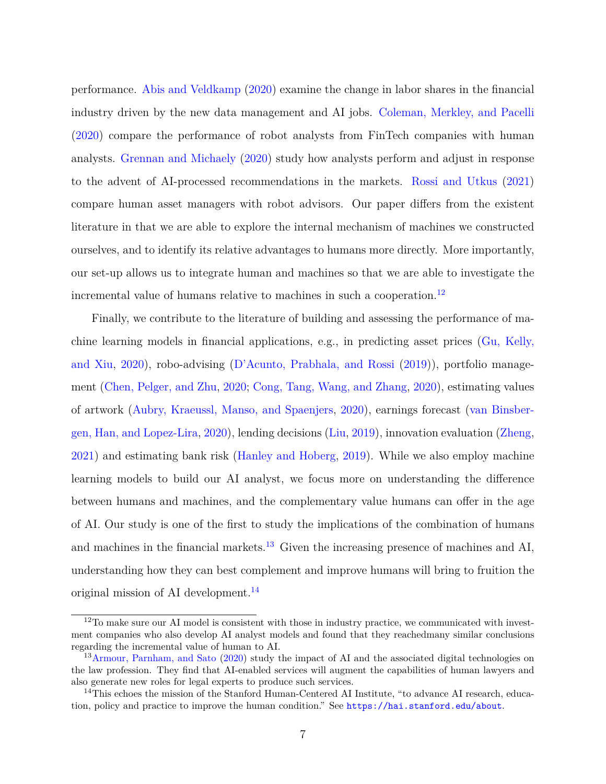performance. [Abis and Veldkamp](#page-26-6) [\(2020\)](#page-26-6) examine the change in labor shares in the financial industry driven by the new data management and AI jobs. [Coleman, Merkley, and Pacelli](#page-28-1) [\(2020\)](#page-28-1) compare the performance of robot analysts from FinTech companies with human analysts. [Grennan and Michaely](#page-28-2) [\(2020\)](#page-28-2) study how analysts perform and adjust in response to the advent of AI-processed recommendations in the markets. [Rossi and Utkus](#page-31-2) [\(2021\)](#page-31-2) compare human asset managers with robot advisors. Our paper differs from the existent literature in that we are able to explore the internal mechanism of machines we constructed ourselves, and to identify its relative advantages to humans more directly. More importantly, our set-up allows us to integrate human and machines so that we are able to investigate the incremental value of humans relative to machines in such a cooperation.<sup>[12](#page-0-0)</sup>

Finally, we contribute to the literature of building and assessing the performance of machine learning models in financial applications, e.g., in predicting asset prices [\(Gu, Kelly,](#page-28-3) [and Xiu,](#page-28-3) [2020\)](#page-28-3), robo-advising [\(D'Acunto, Prabhala, and Rossi](#page-28-4) [\(2019\)](#page-28-4)), portfolio management [\(Chen, Pelger, and Zhu,](#page-27-3) [2020;](#page-27-3) [Cong, Tang, Wang, and Zhang,](#page-28-5) [2020\)](#page-28-5), estimating values of artwork [\(Aubry, Kraeussl, Manso, and Spaenjers,](#page-26-7) [2020\)](#page-26-7), earnings forecast [\(van Binsber](#page-26-8)[gen, Han, and Lopez-Lira,](#page-26-8) [2020\)](#page-26-8), lending decisions [\(Liu,](#page-30-2) [2019\)](#page-30-2), innovation evaluation [\(Zheng,](#page-31-3) [2021\)](#page-31-3) and estimating bank risk [\(Hanley and Hoberg,](#page-29-3) [2019\)](#page-29-3). While we also employ machine learning models to build our AI analyst, we focus more on understanding the difference between humans and machines, and the complementary value humans can offer in the age of AI. Our study is one of the first to study the implications of the combination of humans and machines in the financial markets.<sup>[13](#page-0-0)</sup> Given the increasing presence of machines and AI, understanding how they can best complement and improve humans will bring to fruition the original mission of AI development.[14](#page-0-0)

 $12$ To make sure our AI model is consistent with those in industry practice, we communicated with investment companies who also develop AI analyst models and found that they reachedmany similar conclusions regarding the incremental value of human to AI.

<sup>&</sup>lt;sup>13</sup>[Armour, Parnham, and Sato](#page-26-9) [\(2020\)](#page-26-9) study the impact of AI and the associated digital technologies on the law profession. They find that AI-enabled services will augment the capabilities of human lawyers and also generate new roles for legal experts to produce such services.

<sup>&</sup>lt;sup>14</sup>This echoes the mission of the Stanford Human-Centered AI Institute, "to advance AI research, education, policy and practice to improve the human condition." See <https://hai.stanford.edu/about>.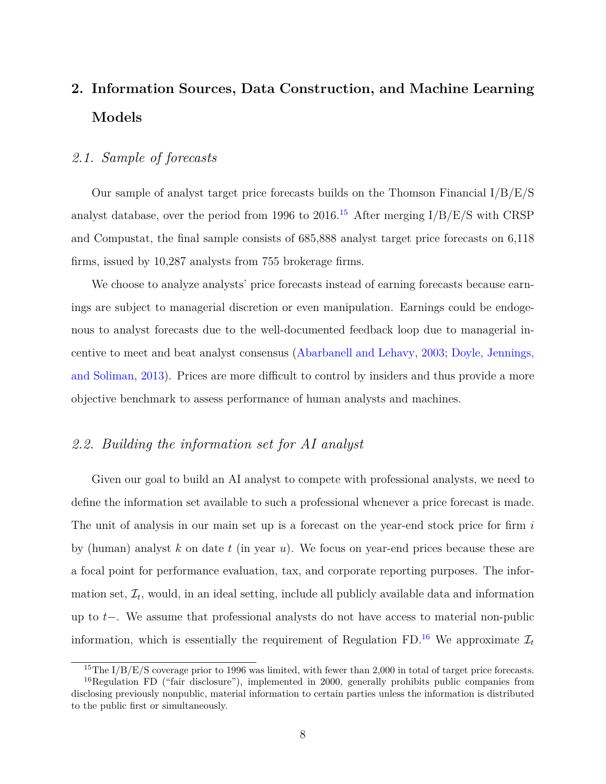# <span id="page-9-0"></span>**2. Information Sources, Data Construction, and Machine Learning Models**

# *2.1. Sample of forecasts*

Our sample of analyst target price forecasts builds on the Thomson Financial  $I/B/E/S$ analyst database, over the period from 1996 to 2016.<sup>[15](#page-0-0)</sup> After merging  $I/B/E/S$  with CRSP and Compustat, the final sample consists of 685,888 analyst target price forecasts on 6,118 firms, issued by 10,287 analysts from 755 brokerage firms.

We choose to analyze analysts' price forecasts instead of earning forecasts because earnings are subject to managerial discretion or even manipulation. Earnings could be endogenous to analyst forecasts due to the well-documented feedback loop due to managerial incentive to meet and beat analyst consensus [\(Abarbanell and Lehavy,](#page-26-10) [2003;](#page-26-10) [Doyle, Jennings,](#page-28-6) [and Soliman,](#page-28-6) [2013\)](#page-28-6). Prices are more difficult to control by insiders and thus provide a more objective benchmark to assess performance of human analysts and machines.

## *2.2. Building the information set for AI analyst*

Given our goal to build an AI analyst to compete with professional analysts, we need to define the information set available to such a professional whenever a price forecast is made. The unit of analysis in our main set up is a forecast on the year-end stock price for firm *i* by (human) analyst *k* on date *t* (in year *u*). We focus on year-end prices because these are a focal point for performance evaluation, tax, and corporate reporting purposes. The information set,  $\mathcal{I}_t$ , would, in an ideal setting, include all publicly available data and information up to *t*−. We assume that professional analysts do not have access to material non-public information, which is essentially the requirement of Regulation FD.<sup>[16](#page-0-0)</sup> We approximate  $\mathcal{I}_t$ 

<sup>&</sup>lt;sup>15</sup>The I/B/E/S coverage prior to 1996 was limited, with fewer than 2,000 in total of target price forecasts.

<sup>&</sup>lt;sup>16</sup>Regulation FD ("fair disclosure"), implemented in 2000, generally prohibits public companies from disclosing previously nonpublic, material information to certain parties unless the information is distributed to the public first or simultaneously.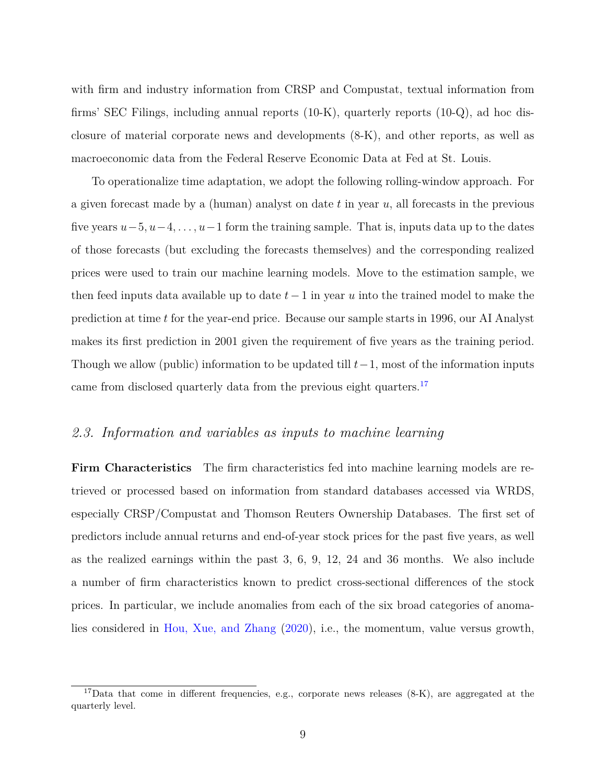with firm and industry information from CRSP and Compustat, textual information from firms' SEC Filings, including annual reports (10-K), quarterly reports (10-Q), ad hoc disclosure of material corporate news and developments (8-K), and other reports, as well as macroeconomic data from the Federal Reserve Economic Data at Fed at St. Louis.

To operationalize time adaptation, we adopt the following rolling-window approach. For a given forecast made by a (human) analyst on date *t* in year *u*, all forecasts in the previous five years *u*−5*, u*−4*, . . . , u*−1 form the training sample. That is, inputs data up to the dates of those forecasts (but excluding the forecasts themselves) and the corresponding realized prices were used to train our machine learning models. Move to the estimation sample, we then feed inputs data available up to date *t*−1 in year *u* into the trained model to make the prediction at time *t* for the year-end price. Because our sample starts in 1996, our AI Analyst makes its first prediction in 2001 given the requirement of five years as the training period. Though we allow (public) information to be updated till *t*−1, most of the information inputs came from disclosed quarterly data from the previous eight quarters.<sup>[17](#page-0-0)</sup>

# *2.3. Information and variables as inputs to machine learning*

**Firm Characteristics** The firm characteristics fed into machine learning models are retrieved or processed based on information from standard databases accessed via WRDS, especially CRSP/Compustat and Thomson Reuters Ownership Databases. The first set of predictors include annual returns and end-of-year stock prices for the past five years, as well as the realized earnings within the past 3, 6, 9, 12, 24 and 36 months. We also include a number of firm characteristics known to predict cross-sectional differences of the stock prices. In particular, we include anomalies from each of the six broad categories of anomalies considered in [Hou, Xue, and Zhang](#page-29-4) [\(2020\)](#page-29-4), i.e., the momentum, value versus growth,

<sup>&</sup>lt;sup>17</sup>Data that come in different frequencies, e.g., corporate news releases (8-K), are aggregated at the quarterly level.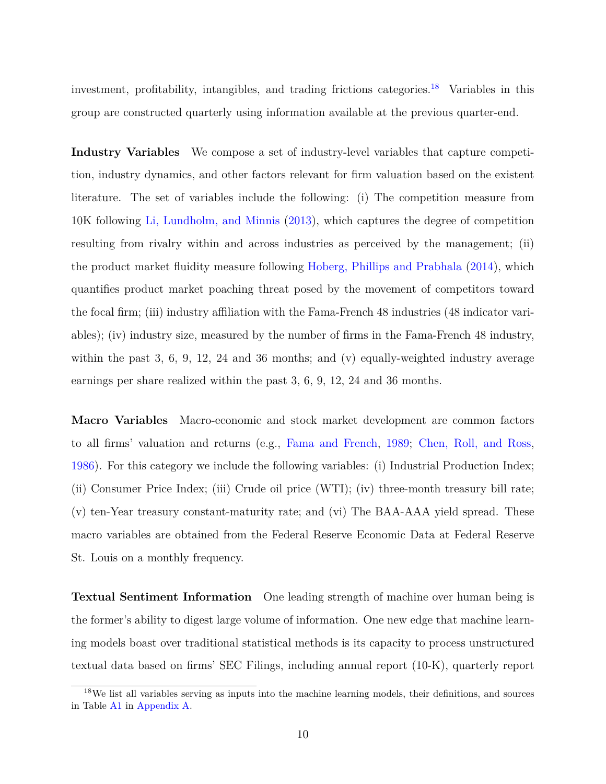investment, profitability, intangibles, and trading frictions categories.[18](#page-0-0) Variables in this group are constructed quarterly using information available at the previous quarter-end.

**Industry Variables** We compose a set of industry-level variables that capture competition, industry dynamics, and other factors relevant for firm valuation based on the existent literature. The set of variables include the following: (i) The competition measure from 10K following [Li, Lundholm, and Minnis](#page-30-3) [\(2013\)](#page-30-3), which captures the degree of competition resulting from rivalry within and across industries as perceived by the management; (ii) the product market fluidity measure following [Hoberg, Phillips and Prabhala](#page-29-5) [\(2014\)](#page-29-5), which quantifies product market poaching threat posed by the movement of competitors toward the focal firm; (iii) industry affiliation with the Fama-French 48 industries (48 indicator variables); (iv) industry size, measured by the number of firms in the Fama-French 48 industry, within the past 3, 6, 9, 12, 24 and 36 months; and  $(v)$  equally-weighted industry average earnings per share realized within the past 3, 6, 9, 12, 24 and 36 months.

**Macro Variables** Macro-economic and stock market development are common factors to all firms' valuation and returns (e.g., [Fama and French,](#page-28-7) [1989;](#page-28-7) [Chen, Roll, and Ross,](#page-27-4) [1986\)](#page-27-4). For this category we include the following variables: (i) Industrial Production Index; (ii) Consumer Price Index; (iii) Crude oil price (WTI); (iv) three-month treasury bill rate; (v) ten-Year treasury constant-maturity rate; and (vi) The BAA-AAA yield spread. These macro variables are obtained from the Federal Reserve Economic Data at Federal Reserve St. Louis on a monthly frequency.

**Textual Sentiment Information** One leading strength of machine over human being is the former's ability to digest large volume of information. One new edge that machine learning models boast over traditional statistical methods is its capacity to process unstructured textual data based on firms' SEC Filings, including annual report (10-K), quarterly report

<sup>&</sup>lt;sup>18</sup>We list all variables serving as inputs into the machine learning models, their definitions, and sources in Table [A1](#page-35-0) in [Appendix A.](#page-2-0)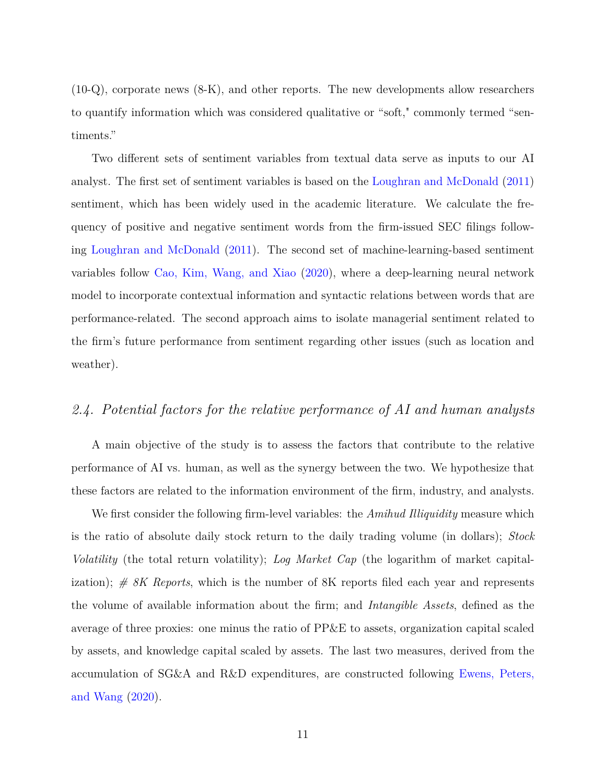(10-Q), corporate news (8-K), and other reports. The new developments allow researchers to quantify information which was considered qualitative or "soft," commonly termed "sentiments."

Two different sets of sentiment variables from textual data serve as inputs to our AI analyst. The first set of sentiment variables is based on the [Loughran and McDonald](#page-30-4) [\(2011\)](#page-30-4) sentiment, which has been widely used in the academic literature. We calculate the frequency of positive and negative sentiment words from the firm-issued SEC filings following [Loughran and McDonald](#page-30-4) [\(2011\)](#page-30-4). The second set of machine-learning-based sentiment variables follow [Cao, Kim, Wang, and Xiao](#page-27-5) [\(2020\)](#page-27-5), where a deep-learning neural network model to incorporate contextual information and syntactic relations between words that are performance-related. The second approach aims to isolate managerial sentiment related to the firm's future performance from sentiment regarding other issues (such as location and weather).

# <span id="page-12-0"></span>*2.4. Potential factors for the relative performance of AI and human analysts*

A main objective of the study is to assess the factors that contribute to the relative performance of AI vs. human, as well as the synergy between the two. We hypothesize that these factors are related to the information environment of the firm, industry, and analysts.

We first consider the following firm-level variables: the *Amihud Illiquidity* measure which is the ratio of absolute daily stock return to the daily trading volume (in dollars); *Stock Volatility* (the total return volatility); *Log Market Cap* (the logarithm of market capitalization); *# 8K Reports*, which is the number of 8K reports filed each year and represents the volume of available information about the firm; and *Intangible Assets*, defined as the average of three proxies: one minus the ratio of PP&E to assets, organization capital scaled by assets, and knowledge capital scaled by assets. The last two measures, derived from the accumulation of SG&A and R&D expenditures, are constructed following [Ewens, Peters,](#page-28-8) [and Wang](#page-28-8) [\(2020\)](#page-28-8).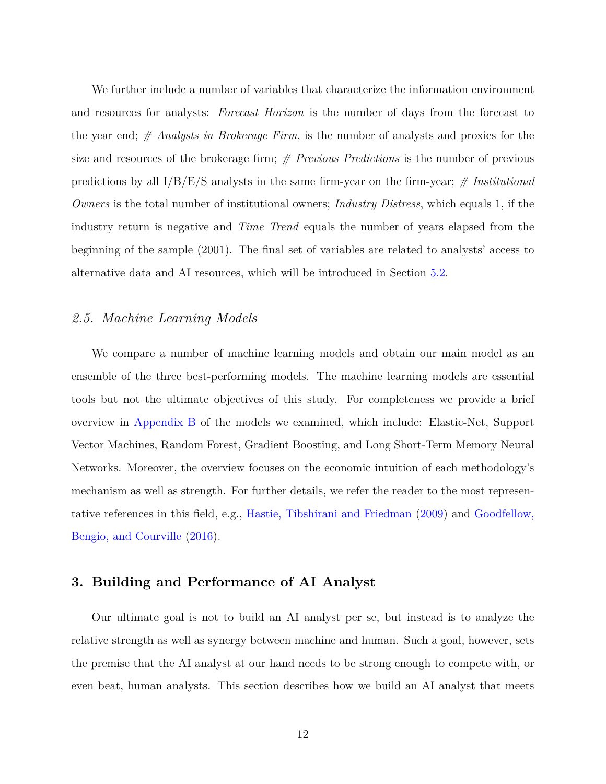We further include a number of variables that characterize the information environment and resources for analysts: *Forecast Horizon* is the number of days from the forecast to the year end; *# Analysts in Brokerage Firm*, is the number of analysts and proxies for the size and resources of the brokerage firm; *# Previous Predictions* is the number of previous predictions by all I/B/E/S analysts in the same firm-year on the firm-year; *# Institutional Owners* is the total number of institutional owners; *Industry Distress*, which equals 1, if the industry return is negative and *Time Trend* equals the number of years elapsed from the beginning of the sample (2001). The final set of variables are related to analysts' access to alternative data and AI resources, which will be introduced in Section [5.2.](#page-22-0)

## *2.5. Machine Learning Models*

We compare a number of machine learning models and obtain our main model as an ensemble of the three best-performing models. The machine learning models are essential tools but not the ultimate objectives of this study. For completeness we provide a brief overview in [Appendix B](#page-9-0) of the models we examined, which include: Elastic-Net, Support Vector Machines, Random Forest, Gradient Boosting, and Long Short-Term Memory Neural Networks. Moreover, the overview focuses on the economic intuition of each methodology's mechanism as well as strength. For further details, we refer the reader to the most representative references in this field, e.g., [Hastie, Tibshirani and Friedman](#page-29-6) [\(2009\)](#page-29-6) and [Goodfellow,](#page-28-9) [Bengio, and Courville](#page-28-9) [\(2016\)](#page-28-9).

# **3. Building and Performance of AI Analyst**

Our ultimate goal is not to build an AI analyst per se, but instead is to analyze the relative strength as well as synergy between machine and human. Such a goal, however, sets the premise that the AI analyst at our hand needs to be strong enough to compete with, or even beat, human analysts. This section describes how we build an AI analyst that meets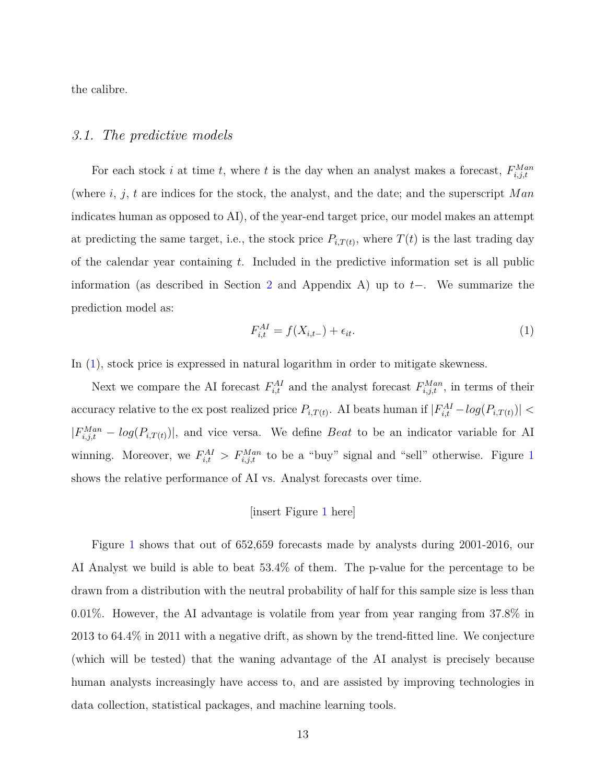the calibre.

### *3.1. The predictive models*

For each stock *i* at time *t*, where *t* is the day when an analyst makes a forecast,  $F_{i,j,t}^{Man}$ (where *i*, *j*, *t* are indices for the stock, the analyst, and the date; and the superscript *M an* indicates human as opposed to AI), of the year-end target price, our model makes an attempt at predicting the same target, i.e., the stock price  $P_{i,T(t)}$ , where  $T(t)$  is the last trading day of the calendar year containing *t*. Included in the predictive information set is all public information (as described in Section [2](#page-9-0) and Appendix A) up to *t*−. We summarize the prediction model as:

<span id="page-14-0"></span>
$$
F_{i,t}^{AI} = f(X_{i,t-}) + \epsilon_{it}.\tag{1}
$$

In  $(1)$ , stock price is expressed in natural logarithm in order to mitigate skewness.

Next we compare the AI forecast  $F_{i,t}^{AI}$  and the analyst forecast  $F_{i,j,t}^{Man}$ , in terms of their accuracy relative to the ex post realized price  $P_{i,T(t)}$ . AI beats human if  $|F_{i,t}^{AI} - log(P_{i,T(t)})|$  $|F_{i,j,t}^{Man} - log(P_{i,T(t)})|$ , and vice versa. We define *Beat* to be an indicator variable for AI winning. Moreover, we  $F_{i,t}^{AI} > F_{i,j,t}^{Man}$  to be a "buy" signal and "sell" otherwise. Figure [1](#page-32-0) shows the relative performance of AI vs. Analyst forecasts over time.

#### [insert Figure [1](#page-32-0) here]

Figure [1](#page-32-0) shows that out of 652,659 forecasts made by analysts during 2001-2016, our AI Analyst we build is able to beat 53.4% of them. The p-value for the percentage to be drawn from a distribution with the neutral probability of half for this sample size is less than 0*.*01%. However, the AI advantage is volatile from year from year ranging from 37.8% in 2013 to 64.4% in 2011 with a negative drift, as shown by the trend-fitted line. We conjecture (which will be tested) that the waning advantage of the AI analyst is precisely because human analysts increasingly have access to, and are assisted by improving technologies in data collection, statistical packages, and machine learning tools.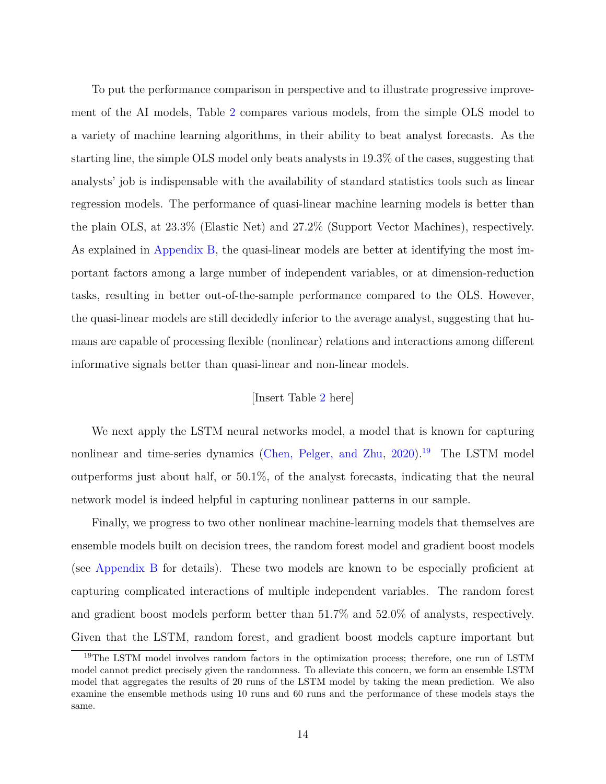To put the performance comparison in perspective and to illustrate progressive improvement of the AI models, Table [2](#page-36-0) compares various models, from the simple OLS model to a variety of machine learning algorithms, in their ability to beat analyst forecasts. As the starting line, the simple OLS model only beats analysts in 19.3% of the cases, suggesting that analysts' job is indispensable with the availability of standard statistics tools such as linear regression models. The performance of quasi-linear machine learning models is better than the plain OLS, at 23.3% (Elastic Net) and 27.2% (Support Vector Machines), respectively. As explained in [Appendix B,](#page-9-0) the quasi-linear models are better at identifying the most important factors among a large number of independent variables, or at dimension-reduction tasks, resulting in better out-of-the-sample performance compared to the OLS. However, the quasi-linear models are still decidedly inferior to the average analyst, suggesting that humans are capable of processing flexible (nonlinear) relations and interactions among different informative signals better than quasi-linear and non-linear models.

## [Insert Table [2](#page-36-0) here]

We next apply the LSTM neural networks model, a model that is known for capturing nonlinear and time-series dynamics [\(Chen, Pelger, and Zhu,](#page-27-3)  $2020$ )<sup>[19](#page-0-0)</sup> The LSTM model outperforms just about half, or 50.1%, of the analyst forecasts, indicating that the neural network model is indeed helpful in capturing nonlinear patterns in our sample.

Finally, we progress to two other nonlinear machine-learning models that themselves are ensemble models built on decision trees, the random forest model and gradient boost models (see [Appendix B](#page-9-0) for details). These two models are known to be especially proficient at capturing complicated interactions of multiple independent variables. The random forest and gradient boost models perform better than 51.7% and 52.0% of analysts, respectively. Given that the LSTM, random forest, and gradient boost models capture important but

<sup>&</sup>lt;sup>19</sup>The LSTM model involves random factors in the optimization process; therefore, one run of LSTM model cannot predict precisely given the randomness. To alleviate this concern, we form an ensemble LSTM model that aggregates the results of 20 runs of the LSTM model by taking the mean prediction. We also examine the ensemble methods using 10 runs and 60 runs and the performance of these models stays the same.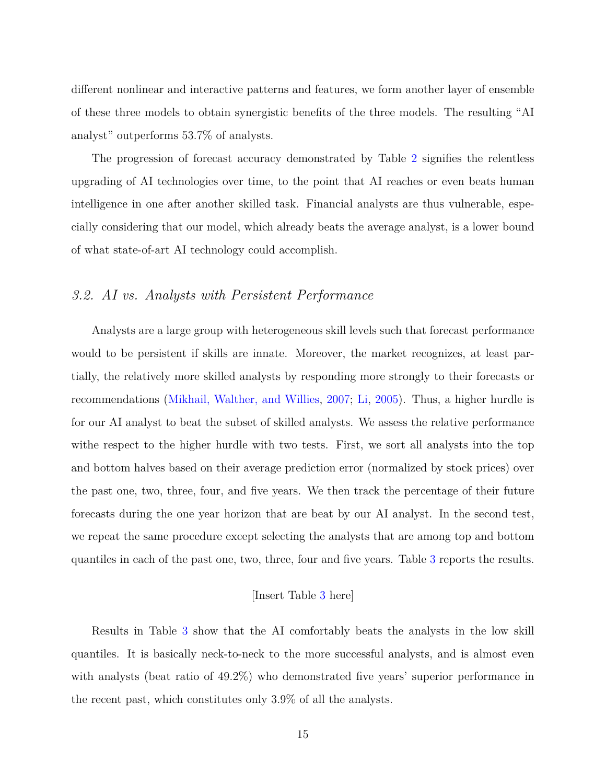different nonlinear and interactive patterns and features, we form another layer of ensemble of these three models to obtain synergistic benefits of the three models. The resulting "AI analyst" outperforms 53.7% of analysts.

The progression of forecast accuracy demonstrated by Table [2](#page-36-0) signifies the relentless upgrading of AI technologies over time, to the point that AI reaches or even beats human intelligence in one after another skilled task. Financial analysts are thus vulnerable, especially considering that our model, which already beats the average analyst, is a lower bound of what state-of-art AI technology could accomplish.

# *3.2. AI vs. Analysts with Persistent Performance*

Analysts are a large group with heterogeneous skill levels such that forecast performance would to be persistent if skills are innate. Moreover, the market recognizes, at least partially, the relatively more skilled analysts by responding more strongly to their forecasts or recommendations [\(Mikhail, Walther, and Willies,](#page-30-5) [2007;](#page-30-5) [Li,](#page-29-7) [2005\)](#page-29-7). Thus, a higher hurdle is for our AI analyst to beat the subset of skilled analysts. We assess the relative performance withe respect to the higher hurdle with two tests. First, we sort all analysts into the top and bottom halves based on their average prediction error (normalized by stock prices) over the past one, two, three, four, and five years. We then track the percentage of their future forecasts during the one year horizon that are beat by our AI analyst. In the second test, we repeat the same procedure except selecting the analysts that are among top and bottom quantiles in each of the past one, two, three, four and five years. Table [3](#page-37-0) reports the results.

## [Insert Table [3](#page-37-0) here]

Results in Table [3](#page-37-0) show that the AI comfortably beats the analysts in the low skill quantiles. It is basically neck-to-neck to the more successful analysts, and is almost even with analysts (beat ratio of 49.2%) who demonstrated five years' superior performance in the recent past, which constitutes only 3.9% of all the analysts.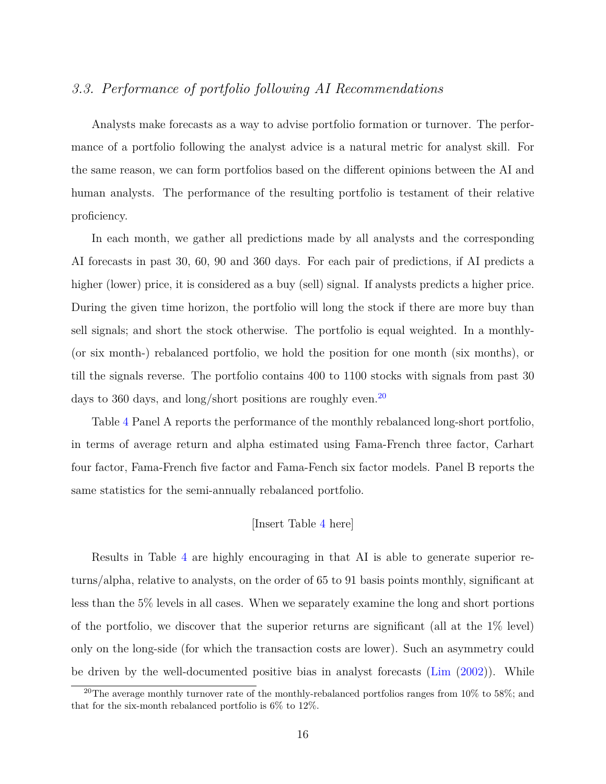# *3.3. Performance of portfolio following AI Recommendations*

Analysts make forecasts as a way to advise portfolio formation or turnover. The performance of a portfolio following the analyst advice is a natural metric for analyst skill. For the same reason, we can form portfolios based on the different opinions between the AI and human analysts. The performance of the resulting portfolio is testament of their relative proficiency.

In each month, we gather all predictions made by all analysts and the corresponding AI forecasts in past 30, 60, 90 and 360 days. For each pair of predictions, if AI predicts a higher (lower) price, it is considered as a buy (sell) signal. If analysts predicts a higher price. During the given time horizon, the portfolio will long the stock if there are more buy than sell signals; and short the stock otherwise. The portfolio is equal weighted. In a monthly- (or six month-) rebalanced portfolio, we hold the position for one month (six months), or till the signals reverse. The portfolio contains 400 to 1100 stocks with signals from past 30 days to 360 days, and long/short positions are roughly even.<sup>[20](#page-0-0)</sup>

Table [4](#page-38-0) Panel A reports the performance of the monthly rebalanced long-short portfolio, in terms of average return and alpha estimated using Fama-French three factor, Carhart four factor, Fama-French five factor and Fama-Fench six factor models. Panel B reports the same statistics for the semi-annually rebalanced portfolio.

## [Insert Table [4](#page-38-0) here]

Results in Table [4](#page-38-0) are highly encouraging in that AI is able to generate superior returns/alpha, relative to analysts, on the order of 65 to 91 basis points monthly, significant at less than the 5% levels in all cases. When we separately examine the long and short portions of the portfolio, we discover that the superior returns are significant (all at the 1% level) only on the long-side (for which the transaction costs are lower). Such an asymmetry could be driven by the well-documented positive bias in analyst forecasts [\(Lim](#page-30-6) [\(2002\)](#page-30-6)). While

<sup>&</sup>lt;sup>20</sup>The average monthly turnover rate of the monthly-rebalanced portfolios ranges from  $10\%$  to 58%; and that for the six-month rebalanced portfolio is 6% to 12%.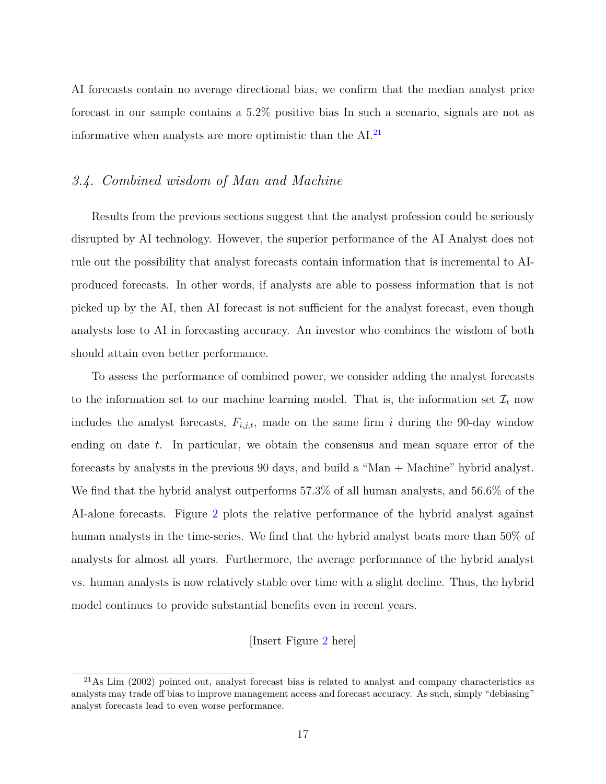AI forecasts contain no average directional bias, we confirm that the median analyst price forecast in our sample contains a 5.2% positive bias In such a scenario, signals are not as informative when analysts are more optimistic than the  $AI.^{21}$  $AI.^{21}$  $AI.^{21}$ 

# *3.4. Combined wisdom of Man and Machine*

Results from the previous sections suggest that the analyst profession could be seriously disrupted by AI technology. However, the superior performance of the AI Analyst does not rule out the possibility that analyst forecasts contain information that is incremental to AIproduced forecasts. In other words, if analysts are able to possess information that is not picked up by the AI, then AI forecast is not sufficient for the analyst forecast, even though analysts lose to AI in forecasting accuracy. An investor who combines the wisdom of both should attain even better performance.

To assess the performance of combined power, we consider adding the analyst forecasts to the information set to our machine learning model. That is, the information set  $\mathcal{I}_t$  now includes the analyst forecasts, *Fi,j,t*, made on the same firm *i* during the 90-day window ending on date *t*. In particular, we obtain the consensus and mean square error of the forecasts by analysts in the previous 90 days, and build a "Man + Machine" hybrid analyst. We find that the hybrid analyst outperforms 57.3% of all human analysts, and 56.6% of the AI-alone forecasts. Figure [2](#page-33-0) plots the relative performance of the hybrid analyst against human analysts in the time-series. We find that the hybrid analyst beats more than 50% of analysts for almost all years. Furthermore, the average performance of the hybrid analyst vs. human analysts is now relatively stable over time with a slight decline. Thus, the hybrid model continues to provide substantial benefits even in recent years.

#### [Insert Figure [2](#page-33-0) here]

 $^{21}$ As Lim (2002) pointed out, analyst forecast bias is related to analyst and company characteristics as analysts may trade off bias to improve management access and forecast accuracy. As such, simply "debiasing" analyst forecasts lead to even worse performance.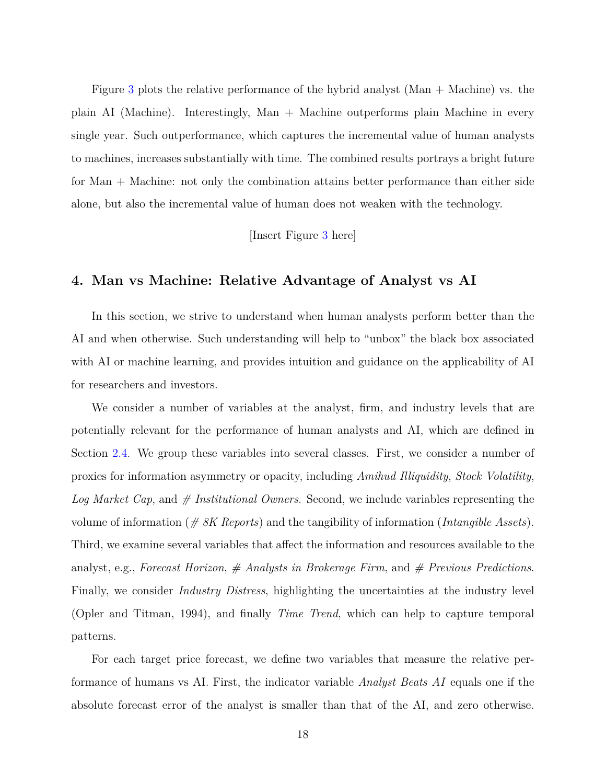Figure [3](#page-34-0) plots the relative performance of the hybrid analyst (Man + Machine) vs. the plain AI (Machine). Interestingly, Man + Machine outperforms plain Machine in every single year. Such outperformance, which captures the incremental value of human analysts to machines, increases substantially with time. The combined results portrays a bright future for Man + Machine: not only the combination attains better performance than either side alone, but also the incremental value of human does not weaken with the technology.

[Insert Figure [3](#page-34-0) here]

## **4. Man vs Machine: Relative Advantage of Analyst vs AI**

In this section, we strive to understand when human analysts perform better than the AI and when otherwise. Such understanding will help to "unbox" the black box associated with AI or machine learning, and provides intuition and guidance on the applicability of AI for researchers and investors.

We consider a number of variables at the analyst, firm, and industry levels that are potentially relevant for the performance of human analysts and AI, which are defined in Section [2.4.](#page-12-0) We group these variables into several classes. First, we consider a number of proxies for information asymmetry or opacity, including *Amihud Illiquidity*, *Stock Volatility*, *Log Market Cap*, and *# Institutional Owners*. Second, we include variables representing the volume of information (*# 8K Reports*) and the tangibility of information (*Intangible Assets*). Third, we examine several variables that affect the information and resources available to the analyst, e.g., *Forecast Horizon*, *# Analysts in Brokerage Firm*, and *# Previous Predictions*. Finally, we consider *Industry Distress*, highlighting the uncertainties at the industry level (Opler and Titman, 1994), and finally *Time Trend*, which can help to capture temporal patterns.

For each target price forecast, we define two variables that measure the relative performance of humans vs AI. First, the indicator variable *Analyst Beats AI* equals one if the absolute forecast error of the analyst is smaller than that of the AI, and zero otherwise.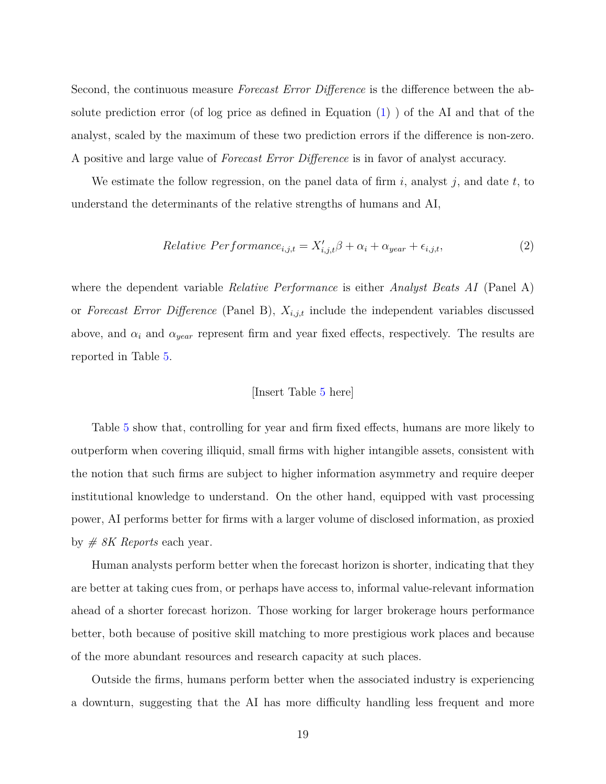Second, the continuous measure *Forecast Error Difference* is the difference between the absolute prediction error (of log price as defined in Equation  $(1)$ ) of the AI and that of the analyst, scaled by the maximum of these two prediction errors if the difference is non-zero. A positive and large value of *Forecast Error Difference* is in favor of analyst accuracy.

We estimate the follow regression, on the panel data of firm *i*, analyst *j*, and date *t*, to understand the determinants of the relative strengths of humans and AI,

$$
Relative\ Performance_{i,j,t} = X'_{i,j,t}\beta + \alpha_i + \alpha_{year} + \epsilon_{i,j,t},\tag{2}
$$

where the dependent variable *Relative Performance* is either *Analyst Beats AI* (Panel A) or *Forecast Error Difference* (Panel B), *Xi,j,t* include the independent variables discussed above, and  $\alpha_i$  and  $\alpha_{year}$  represent firm and year fixed effects, respectively. The results are reported in Table [5.](#page-40-0)

#### <span id="page-20-0"></span>[Insert Table [5](#page-40-0) here]

Table [5](#page-40-0) show that, controlling for year and firm fixed effects, humans are more likely to outperform when covering illiquid, small firms with higher intangible assets, consistent with the notion that such firms are subject to higher information asymmetry and require deeper institutional knowledge to understand. On the other hand, equipped with vast processing power, AI performs better for firms with a larger volume of disclosed information, as proxied by *# 8K Reports* each year.

Human analysts perform better when the forecast horizon is shorter, indicating that they are better at taking cues from, or perhaps have access to, informal value-relevant information ahead of a shorter forecast horizon. Those working for larger brokerage hours performance better, both because of positive skill matching to more prestigious work places and because of the more abundant resources and research capacity at such places.

Outside the firms, humans perform better when the associated industry is experiencing a downturn, suggesting that the AI has more difficulty handling less frequent and more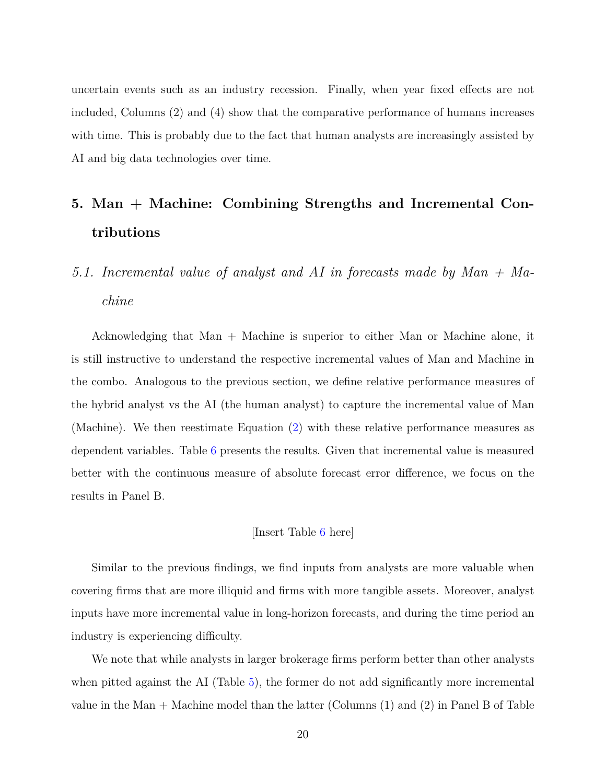uncertain events such as an industry recession. Finally, when year fixed effects are not included, Columns (2) and (4) show that the comparative performance of humans increases with time. This is probably due to the fact that human analysts are increasingly assisted by AI and big data technologies over time.

# **5. Man + Machine: Combining Strengths and Incremental Contributions**

# *5.1. Incremental value of analyst and AI in forecasts made by Man + Machine*

Acknowledging that Man + Machine is superior to either Man or Machine alone, it is still instructive to understand the respective incremental values of Man and Machine in the combo. Analogous to the previous section, we define relative performance measures of the hybrid analyst vs the AI (the human analyst) to capture the incremental value of Man (Machine). We then reestimate Equation [\(2\)](#page-20-0) with these relative performance measures as dependent variables. Table [6](#page-42-0) presents the results. Given that incremental value is measured better with the continuous measure of absolute forecast error difference, we focus on the results in Panel B.

#### [Insert Table [6](#page-42-0) here]

Similar to the previous findings, we find inputs from analysts are more valuable when covering firms that are more illiquid and firms with more tangible assets. Moreover, analyst inputs have more incremental value in long-horizon forecasts, and during the time period an industry is experiencing difficulty.

We note that while analysts in larger brokerage firms perform better than other analysts when pitted against the AI (Table [5\)](#page-40-0), the former do not add significantly more incremental value in the Man + Machine model than the latter (Columns (1) and (2) in Panel B of Table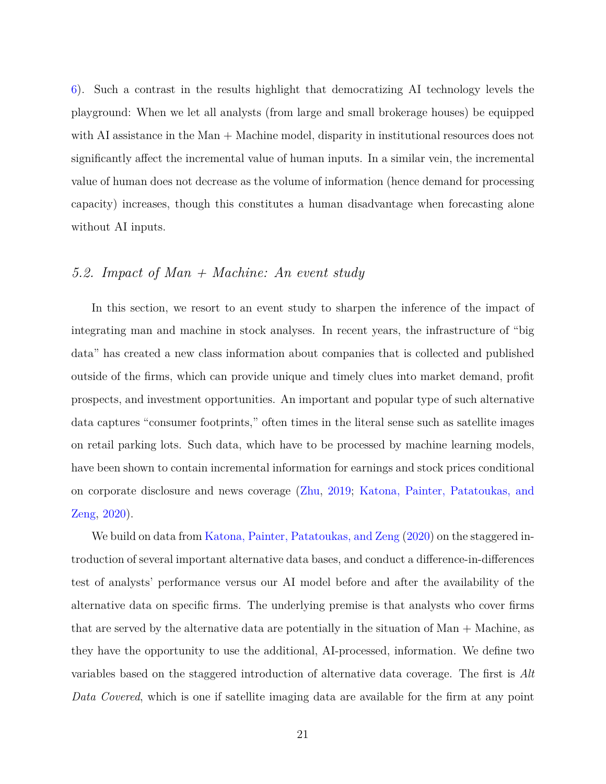[6\)](#page-42-0). Such a contrast in the results highlight that democratizing AI technology levels the playground: When we let all analysts (from large and small brokerage houses) be equipped with AI assistance in the Man + Machine model, disparity in institutional resources does not significantly affect the incremental value of human inputs. In a similar vein, the incremental value of human does not decrease as the volume of information (hence demand for processing capacity) increases, though this constitutes a human disadvantage when forecasting alone without AI inputs.

# <span id="page-22-0"></span>*5.2. Impact of Man + Machine: An event study*

In this section, we resort to an event study to sharpen the inference of the impact of integrating man and machine in stock analyses. In recent years, the infrastructure of "big data" has created a new class information about companies that is collected and published outside of the firms, which can provide unique and timely clues into market demand, profit prospects, and investment opportunities. An important and popular type of such alternative data captures "consumer footprints," often times in the literal sense such as satellite images on retail parking lots. Such data, which have to be processed by machine learning models, have been shown to contain incremental information for earnings and stock prices conditional on corporate disclosure and news coverage [\(Zhu,](#page-31-1) [2019;](#page-31-1) [Katona, Painter, Patatoukas, and](#page-29-2) [Zeng,](#page-29-2) [2020\)](#page-29-2).

We build on data from [Katona, Painter, Patatoukas, and Zeng](#page-29-2) [\(2020\)](#page-29-2) on the staggered introduction of several important alternative data bases, and conduct a difference-in-differences test of analysts' performance versus our AI model before and after the availability of the alternative data on specific firms. The underlying premise is that analysts who cover firms that are served by the alternative data are potentially in the situation of Man + Machine, as they have the opportunity to use the additional, AI-processed, information. We define two variables based on the staggered introduction of alternative data coverage. The first is *Alt Data Covered*, which is one if satellite imaging data are available for the firm at any point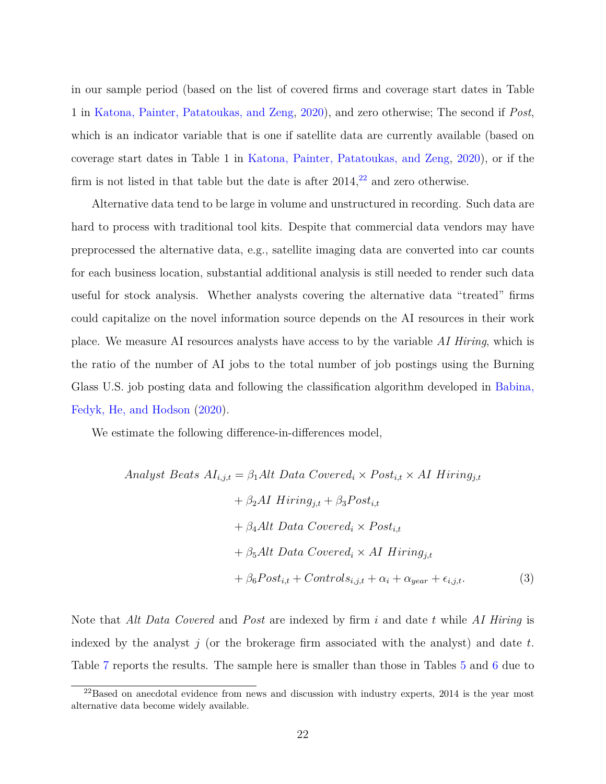in our sample period (based on the list of covered firms and coverage start dates in Table 1 in [Katona, Painter, Patatoukas, and Zeng,](#page-29-2) [2020\)](#page-29-2), and zero otherwise; The second if *Post*, which is an indicator variable that is one if satellite data are currently available (based on coverage start dates in Table 1 in [Katona, Painter, Patatoukas, and Zeng,](#page-29-2) [2020\)](#page-29-2), or if the firm is not listed in that table but the date is after  $2014$ ,  $22$  and zero otherwise.

Alternative data tend to be large in volume and unstructured in recording. Such data are hard to process with traditional tool kits. Despite that commercial data vendors may have preprocessed the alternative data, e.g., satellite imaging data are converted into car counts for each business location, substantial additional analysis is still needed to render such data useful for stock analysis. Whether analysts covering the alternative data "treated" firms could capitalize on the novel information source depends on the AI resources in their work place. We measure AI resources analysts have access to by the variable *AI Hiring*, which is the ratio of the number of AI jobs to the total number of job postings using the Burning Glass U.S. job posting data and following the classification algorithm developed in [Babina,](#page-26-1) [Fedyk, He, and Hodson](#page-26-1) [\(2020\)](#page-26-1).

We estimate the following difference-in-differences model,

Analyst Beats 
$$
AI_{i,j,t} = \beta_1 Alt
$$
 Data Covered<sub>i</sub> × Post<sub>i,t</sub> × AI Hiring<sub>j,t</sub>  
+  $\beta_2 AI$  Hiring<sub>j,t</sub> +  $\beta_3 Post_{i,t}$   
+  $\beta_4 Alt$  Data Covered<sub>i</sub> × Post<sub>i,t</sub>  
+  $\beta_5 Alt$  Data Covered<sub>i</sub> × AI Hiring<sub>j,t</sub>  
+  $\beta_6 Post_{i,t}$  + Controls<sub>i,j,t</sub> +  $\alpha_i$  +  $\alpha_{year}$  +  $\epsilon_{i,j,t}$ . (3)

Note that *Alt Data Covered* and *Post* are indexed by firm *i* and date *t* while *AI Hiring* is indexed by the analyst *j* (or the brokerage firm associated with the analyst) and date *t*. Table [7](#page-44-0) reports the results. The sample here is smaller than those in Tables [5](#page-40-0) and [6](#page-42-0) due to

 $^{22}$ Based on anecdotal evidence from news and discussion with industry experts, 2014 is the year most alternative data become widely available.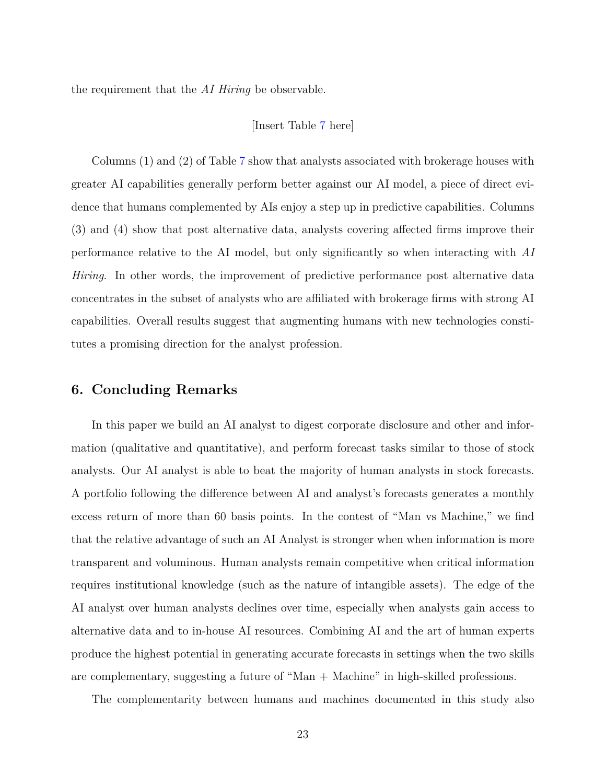the requirement that the *AI Hiring* be observable.

#### [Insert Table [7](#page-44-0) here]

Columns (1) and (2) of Table [7](#page-44-0) show that analysts associated with brokerage houses with greater AI capabilities generally perform better against our AI model, a piece of direct evidence that humans complemented by AIs enjoy a step up in predictive capabilities. Columns (3) and (4) show that post alternative data, analysts covering affected firms improve their performance relative to the AI model, but only significantly so when interacting with *AI Hiring*. In other words, the improvement of predictive performance post alternative data concentrates in the subset of analysts who are affiliated with brokerage firms with strong AI capabilities. Overall results suggest that augmenting humans with new technologies constitutes a promising direction for the analyst profession.

## **6. Concluding Remarks**

In this paper we build an AI analyst to digest corporate disclosure and other and information (qualitative and quantitative), and perform forecast tasks similar to those of stock analysts. Our AI analyst is able to beat the majority of human analysts in stock forecasts. A portfolio following the difference between AI and analyst's forecasts generates a monthly excess return of more than 60 basis points. In the contest of "Man vs Machine," we find that the relative advantage of such an AI Analyst is stronger when when information is more transparent and voluminous. Human analysts remain competitive when critical information requires institutional knowledge (such as the nature of intangible assets). The edge of the AI analyst over human analysts declines over time, especially when analysts gain access to alternative data and to in-house AI resources. Combining AI and the art of human experts produce the highest potential in generating accurate forecasts in settings when the two skills are complementary, suggesting a future of "Man + Machine" in high-skilled professions.

The complementarity between humans and machines documented in this study also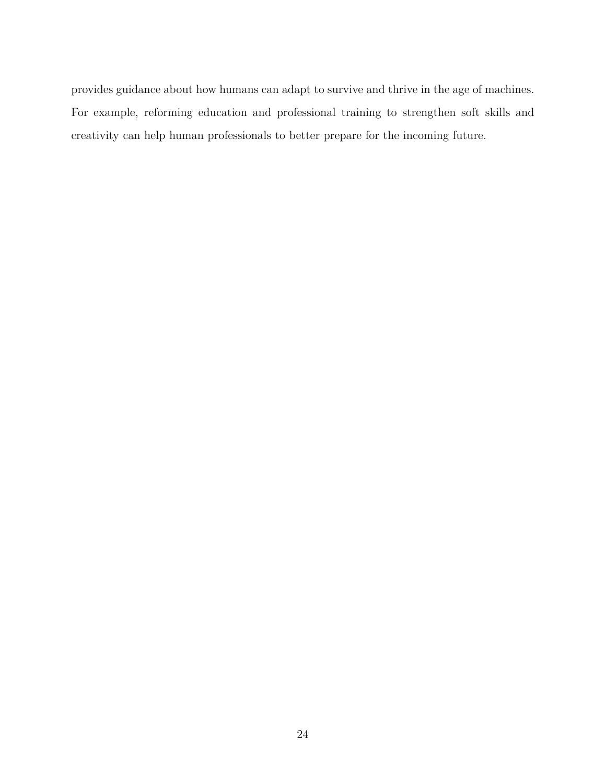provides guidance about how humans can adapt to survive and thrive in the age of machines. For example, reforming education and professional training to strengthen soft skills and creativity can help human professionals to better prepare for the incoming future.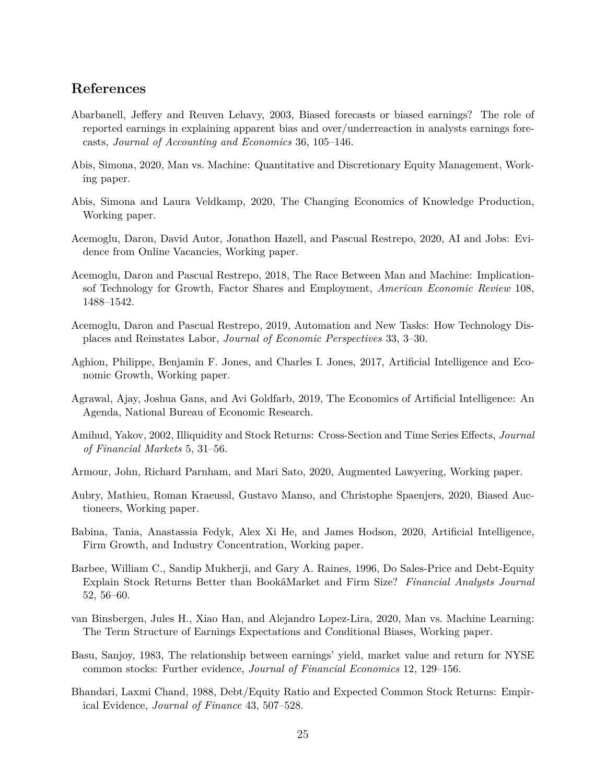# **References**

- <span id="page-26-10"></span>Abarbanell, Jeffery and Reuven Lehavy, 2003, Biased forecasts or biased earnings? The role of reported earnings in explaining apparent bias and over/underreaction in analysts earnings forecasts, *Journal of Accounting and Economics* 36, 105–146.
- <span id="page-26-2"></span>Abis, Simona, 2020, Man vs. Machine: Quantitative and Discretionary Equity Management, Working paper.
- <span id="page-26-6"></span>Abis, Simona and Laura Veldkamp, 2020, The Changing Economics of Knowledge Production, Working paper.
- <span id="page-26-0"></span>Acemoglu, Daron, David Autor, Jonathon Hazell, and Pascual Restrepo, 2020, AI and Jobs: Evidence from Online Vacancies, Working paper.
- <span id="page-26-4"></span>Acemoglu, Daron and Pascual Restrepo, 2018, The Race Between Man and Machine: Implicationsof Technology for Growth, Factor Shares and Employment, *American Economic Review* 108, 1488–1542.
- <span id="page-26-5"></span>Acemoglu, Daron and Pascual Restrepo, 2019, Automation and New Tasks: How Technology Displaces and Reinstates Labor, *Journal of Economic Perspectives* 33, 3–30.
- <span id="page-26-3"></span>Aghion, Philippe, Benjamin F. Jones, and Charles I. Jones, 2017, Artificial Intelligence and Economic Growth, Working paper.
- Agrawal, Ajay, Joshua Gans, and Avi Goldfarb, 2019, The Economics of Artificial Intelligence: An Agenda, National Bureau of Economic Research.
- Amihud, Yakov, 2002, Illiquidity and Stock Returns: Cross-Section and Time Series Effects, *Journal of Financial Markets* 5, 31–56.
- <span id="page-26-9"></span>Armour, John, Richard Parnham, and Mari Sato, 2020, Augmented Lawyering, Working paper.
- <span id="page-26-7"></span>Aubry, Mathieu, Roman Kraeussl, Gustavo Manso, and Christophe Spaenjers, 2020, Biased Auctioneers, Working paper.
- <span id="page-26-1"></span>Babina, Tania, Anastassia Fedyk, Alex Xi He, and James Hodson, 2020, Artificial Intelligence, Firm Growth, and Industry Concentration, Working paper.
- <span id="page-26-13"></span>Barbee, William C., Sandip Mukherji, and Gary A. Raines, 1996, Do Sales-Price and Debt-Equity Explain Stock Returns Better than BookâMarket and Firm Size? *Financial Analysts Journal* 52, 56–60.
- <span id="page-26-8"></span>van Binsbergen, Jules H., Xiao Han, and Alejandro Lopez-Lira, 2020, Man vs. Machine Learning: The Term Structure of Earnings Expectations and Conditional Biases, Working paper.
- <span id="page-26-12"></span>Basu, Sanjoy, 1983, The relationship between earnings' yield, market value and return for NYSE common stocks: Further evidence, *Journal of Financial Economics* 12, 129–156.
- <span id="page-26-11"></span>Bhandari, Laxmi Chand, 1988, Debt/Equity Ratio and Expected Common Stock Returns: Empirical Evidence, *Journal of Finance* 43, 507–528.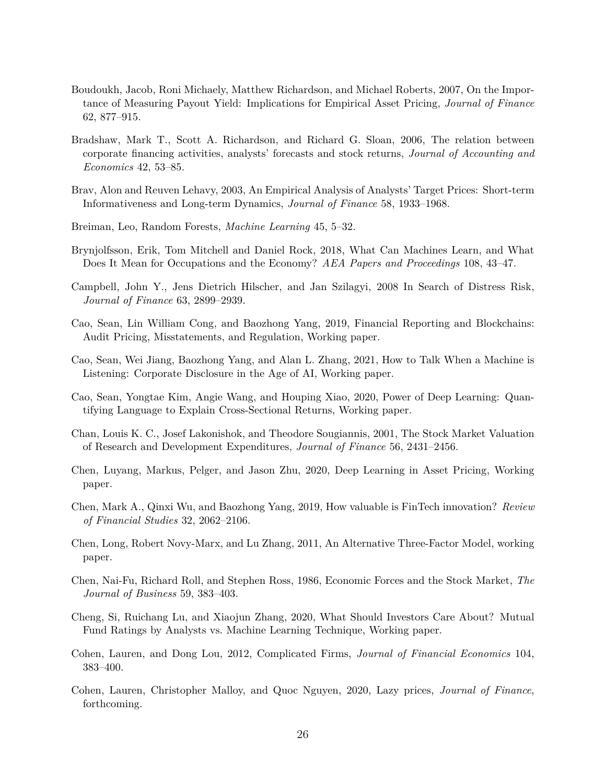- <span id="page-27-8"></span>Boudoukh, Jacob, Roni Michaely, Matthew Richardson, and Michael Roberts, 2007, On the Importance of Measuring Payout Yield: Implications for Empirical Asset Pricing, *Journal of Finance* 62, 877–915.
- <span id="page-27-9"></span>Bradshaw, Mark T., Scott A. Richardson, and Richard G. Sloan, 2006, The relation between corporate financing activities, analysts' forecasts and stock returns, *Journal of Accounting and Economics* 42, 53–85.
- <span id="page-27-0"></span>Brav, Alon and Reuven Lehavy, 2003, An Empirical Analysis of Analysts' Target Prices: Short-term Informativeness and Long-term Dynamics, *Journal of Finance* 58, 1933–1968.
- <span id="page-27-11"></span>Breiman, Leo, Random Forests, *Machine Learning* 45, 5–32.
- <span id="page-27-1"></span>Brynjolfsson, Erik, Tom Mitchell and Daniel Rock, 2018, What Can Machines Learn, and What Does It Mean for Occupations and the Economy? *AEA Papers and Proceedings* 108, 43–47.
- <span id="page-27-6"></span>Campbell, John Y., Jens Dietrich Hilscher, and Jan Szilagyi, 2008 In Search of Distress Risk, *Journal of Finance* 63, 2899–2939.
- <span id="page-27-2"></span>Cao, Sean, Lin William Cong, and Baozhong Yang, 2019, Financial Reporting and Blockchains: Audit Pricing, Misstatements, and Regulation, Working paper.
- Cao, Sean, Wei Jiang, Baozhong Yang, and Alan L. Zhang, 2021, How to Talk When a Machine is Listening: Corporate Disclosure in the Age of AI, Working paper.
- <span id="page-27-5"></span>Cao, Sean, Yongtae Kim, Angie Wang, and Houping Xiao, 2020, Power of Deep Learning: Quantifying Language to Explain Cross-Sectional Returns, Working paper.
- <span id="page-27-10"></span>Chan, Louis K. C., Josef Lakonishok, and Theodore Sougiannis, 2001, The Stock Market Valuation of Research and Development Expenditures, *Journal of Finance* 56, 2431–2456.
- <span id="page-27-3"></span>Chen, Luyang, Markus, Pelger, and Jason Zhu, 2020, Deep Learning in Asset Pricing, Working paper.
- Chen, Mark A., Qinxi Wu, and Baozhong Yang, 2019, How valuable is FinTech innovation? *Review of Financial Studies* 32, 2062–2106.
- <span id="page-27-7"></span>Chen, Long, Robert Novy-Marx, and Lu Zhang, 2011, An Alternative Three-Factor Model, working paper.
- <span id="page-27-4"></span>Chen, Nai-Fu, Richard Roll, and Stephen Ross, 1986, Economic Forces and the Stock Market, *The Journal of Business* 59, 383–403.
- Cheng, Si, Ruichang Lu, and Xiaojun Zhang, 2020, What Should Investors Care About? Mutual Fund Ratings by Analysts vs. Machine Learning Technique, Working paper.
- Cohen, Lauren, and Dong Lou, 2012, Complicated Firms, *Journal of Financial Economics* 104, 383–400.
- Cohen, Lauren, Christopher Malloy, and Quoc Nguyen, 2020, Lazy prices, *Journal of Finance*, forthcoming.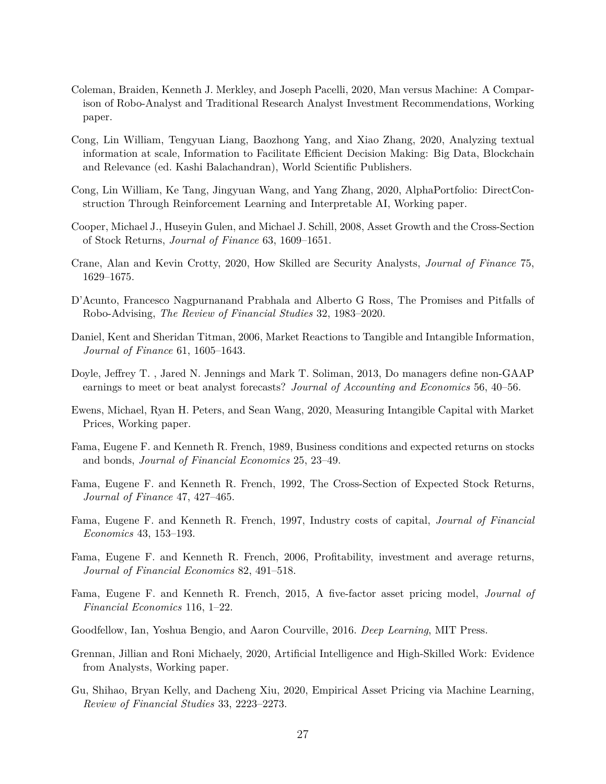- <span id="page-28-1"></span>Coleman, Braiden, Kenneth J. Merkley, and Joseph Pacelli, 2020, Man versus Machine: A Comparison of Robo-Analyst and Traditional Research Analyst Investment Recommendations, Working paper.
- Cong, Lin William, Tengyuan Liang, Baozhong Yang, and Xiao Zhang, 2020, Analyzing textual information at scale, Information to Facilitate Efficient Decision Making: Big Data, Blockchain and Relevance (ed. Kashi Balachandran), World Scientific Publishers.
- <span id="page-28-5"></span>Cong, Lin William, Ke Tang, Jingyuan Wang, and Yang Zhang, 2020, AlphaPortfolio: DirectConstruction Through Reinforcement Learning and Interpretable AI, Working paper.
- <span id="page-28-11"></span>Cooper, Michael J., Huseyin Gulen, and Michael J. Schill, 2008, Asset Growth and the Cross-Section of Stock Returns, *Journal of Finance* 63, 1609–1651.
- <span id="page-28-0"></span>Crane, Alan and Kevin Crotty, 2020, How Skilled are Security Analysts, *Journal of Finance* 75, 1629–1675.
- <span id="page-28-4"></span>D'Acunto, Francesco Nagpurnanand Prabhala and Alberto G Ross, The Promises and Pitfalls of Robo-Advising, *The Review of Financial Studies* 32, 1983–2020.
- <span id="page-28-10"></span>Daniel, Kent and Sheridan Titman, 2006, Market Reactions to Tangible and Intangible Information, *Journal of Finance* 61, 1605–1643.
- <span id="page-28-6"></span>Doyle, Jeffrey T. , Jared N. Jennings and Mark T. Soliman, 2013, Do managers define non-GAAP earnings to meet or beat analyst forecasts? *Journal of Accounting and Economics* 56, 40–56.
- <span id="page-28-8"></span>Ewens, Michael, Ryan H. Peters, and Sean Wang, 2020, Measuring Intangible Capital with Market Prices, Working paper.
- <span id="page-28-7"></span>Fama, Eugene F. and Kenneth R. French, 1989, Business conditions and expected returns on stocks and bonds, *Journal of Financial Economics* 25, 23–49.
- <span id="page-28-14"></span>Fama, Eugene F. and Kenneth R. French, 1992, The Cross-Section of Expected Stock Returns, *Journal of Finance* 47, 427–465.
- Fama, Eugene F. and Kenneth R. French, 1997, Industry costs of capital, *Journal of Financial Economics* 43, 153–193.
- <span id="page-28-12"></span>Fama, Eugene F. and Kenneth R. French, 2006, Profitability, investment and average returns, *Journal of Financial Economics* 82, 491–518.
- <span id="page-28-13"></span>Fama, Eugene F. and Kenneth R. French, 2015, A five-factor asset pricing model, *Journal of Financial Economics* 116, 1–22.
- <span id="page-28-9"></span>Goodfellow, Ian, Yoshua Bengio, and Aaron Courville, 2016. *Deep Learning*, MIT Press.
- <span id="page-28-2"></span>Grennan, Jillian and Roni Michaely, 2020, Artificial Intelligence and High-Skilled Work: Evidence from Analysts, Working paper.
- <span id="page-28-3"></span>Gu, Shihao, Bryan Kelly, and Dacheng Xiu, 2020, Empirical Asset Pricing via Machine Learning, *Review of Financial Studies* 33, 2223–2273.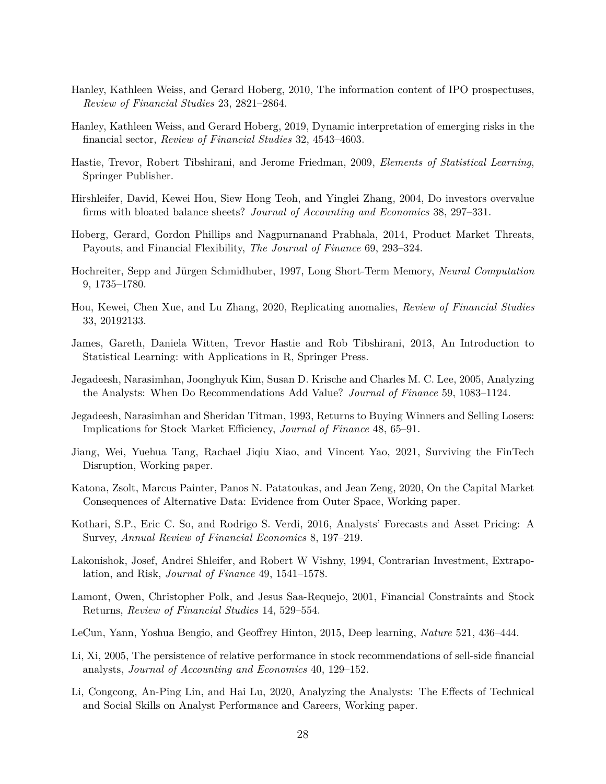- Hanley, Kathleen Weiss, and Gerard Hoberg, 2010, The information content of IPO prospectuses, *Review of Financial Studies* 23, 2821–2864.
- <span id="page-29-3"></span>Hanley, Kathleen Weiss, and Gerard Hoberg, 2019, Dynamic interpretation of emerging risks in the financial sector, *Review of Financial Studies* 32, 4543–4603.
- <span id="page-29-6"></span>Hastie, Trevor, Robert Tibshirani, and Jerome Friedman, 2009, *Elements of Statistical Learning*, Springer Publisher.
- <span id="page-29-9"></span>Hirshleifer, David, Kewei Hou, Siew Hong Teoh, and Yinglei Zhang, 2004, Do investors overvalue firms with bloated balance sheets? *Journal of Accounting and Economics* 38, 297–331.
- <span id="page-29-5"></span>Hoberg, Gerard, Gordon Phillips and Nagpurnanand Prabhala, 2014, Product Market Threats, Payouts, and Financial Flexibility, *The Journal of Finance* 69, 293–324.
- <span id="page-29-13"></span>Hochreiter, Sepp and Jürgen Schmidhuber, 1997, Long Short-Term Memory, *Neural Computation* 9, 1735–1780.
- <span id="page-29-4"></span>Hou, Kewei, Chen Xue, and Lu Zhang, 2020, Replicating anomalies, *Review of Financial Studies* 33, 20192133.
- James, Gareth, Daniela Witten, Trevor Hastie and Rob Tibshirani, 2013, An Introduction to Statistical Learning: with Applications in R, Springer Press.
- <span id="page-29-1"></span>Jegadeesh, Narasimhan, Joonghyuk Kim, Susan D. Krische and Charles M. C. Lee, 2005, Analyzing the Analysts: When Do Recommendations Add Value? *Journal of Finance* 59, 1083–1124.
- <span id="page-29-8"></span>Jegadeesh, Narasimhan and Sheridan Titman, 1993, Returns to Buying Winners and Selling Losers: Implications for Stock Market Efficiency, *Journal of Finance* 48, 65–91.
- <span id="page-29-0"></span>Jiang, Wei, Yuehua Tang, Rachael Jiqiu Xiao, and Vincent Yao, 2021, Surviving the FinTech Disruption, Working paper.
- <span id="page-29-2"></span>Katona, Zsolt, Marcus Painter, Panos N. Patatoukas, and Jean Zeng, 2020, On the Capital Market Consequences of Alternative Data: Evidence from Outer Space, Working paper.
- Kothari, S.P., Eric C. So, and Rodrigo S. Verdi, 2016, Analysts' Forecasts and Asset Pricing: A Survey, *Annual Review of Financial Economics* 8, 197–219.
- <span id="page-29-10"></span>Lakonishok, Josef, Andrei Shleifer, and Robert W Vishny, 1994, Contrarian Investment, Extrapolation, and Risk, *Journal of Finance* 49, 1541–1578.
- <span id="page-29-11"></span>Lamont, Owen, Christopher Polk, and Jesus Saa-Requejo, 2001, Financial Constraints and Stock Returns, *Review of Financial Studies* 14, 529–554.
- <span id="page-29-12"></span>LeCun, Yann, Yoshua Bengio, and Geoffrey Hinton, 2015, Deep learning, *Nature* 521, 436–444.
- <span id="page-29-7"></span>Li, Xi, 2005, The persistence of relative performance in stock recommendations of sell-side financial analysts, *Journal of Accounting and Economics* 40, 129–152.
- Li, Congcong, An-Ping Lin, and Hai Lu, 2020, Analyzing the Analysts: The Effects of Technical and Social Skills on Analyst Performance and Careers, Working paper.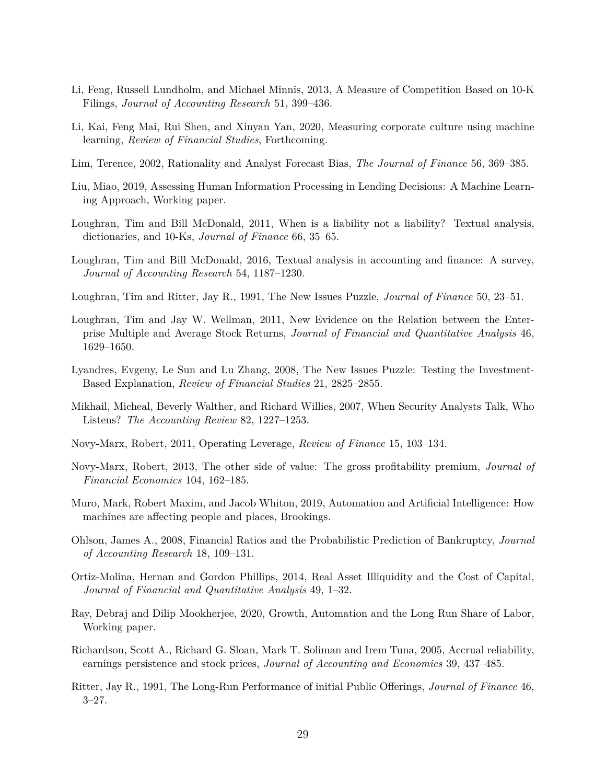- <span id="page-30-3"></span>Li, Feng, Russell Lundholm, and Michael Minnis, 2013, A Measure of Competition Based on 10-K Filings, *Journal of Accounting Research* 51, 399–436.
- Li, Kai, Feng Mai, Rui Shen, and Xinyan Yan, 2020, Measuring corporate culture using machine learning, *Review of Financial Studies*, Forthcoming.
- <span id="page-30-6"></span>Lim, Terence, 2002, Rationality and Analyst Forecast Bias, *The Journal of Finance* 56, 369–385.
- <span id="page-30-2"></span>Liu, Miao, 2019, Assessing Human Information Processing in Lending Decisions: A Machine Learning Approach, Working paper.
- <span id="page-30-4"></span>Loughran, Tim and Bill McDonald, 2011, When is a liability not a liability? Textual analysis, dictionaries, and 10-Ks, *Journal of Finance* 66, 35–65.
- Loughran, Tim and Bill McDonald, 2016, Textual analysis in accounting and finance: A survey, *Journal of Accounting Research* 54, 1187–1230.
- <span id="page-30-9"></span>Loughran, Tim and Ritter, Jay R., 1991, The New Issues Puzzle, *Journal of Finance* 50, 23–51.
- <span id="page-30-11"></span>Loughran, Tim and Jay W. Wellman, 2011, New Evidence on the Relation between the Enterprise Multiple and Average Stock Returns, *Journal of Financial and Quantitative Analysis* 46, 1629–1650.
- <span id="page-30-12"></span>Lyandres, Evgeny, Le Sun and Lu Zhang, 2008, The New Issues Puzzle: Testing the Investment-Based Explanation, *Review of Financial Studies* 21, 2825–2855.
- <span id="page-30-5"></span>Mikhail, Micheal, Beverly Walther, and Richard Willies, 2007, When Security Analysts Talk, Who Listens? *The Accounting Review* 82, 1227–1253.
- <span id="page-30-14"></span>Novy-Marx, Robert, 2011, Operating Leverage, *Review of Finance* 15, 103–134.
- <span id="page-30-7"></span>Novy-Marx, Robert, 2013, The other side of value: The gross profitability premium, *Journal of Financial Economics* 104, 162–185.
- <span id="page-30-0"></span>Muro, Mark, Robert Maxim, and Jacob Whiton, 2019, Automation and Artificial Intelligence: How machines are affecting people and places, Brookings.
- <span id="page-30-10"></span>Ohlson, James A., 2008, Financial Ratios and the Probabilistic Prediction of Bankruptcy, *Journal of Accounting Research* 18, 109–131.
- <span id="page-30-15"></span>Ortiz-Molina, Hernan and Gordon Phillips, 2014, Real Asset Illiquidity and the Cost of Capital, *Journal of Financial and Quantitative Analysis* 49, 1–32.
- <span id="page-30-1"></span>Ray, Debraj and Dilip Mookherjee, 2020, Growth, Automation and the Long Run Share of Labor, Working paper.
- <span id="page-30-13"></span>Richardson, Scott A., Richard G. Sloan, Mark T. Soliman and Irem Tuna, 2005, Accrual reliability, earnings persistence and stock prices, *Journal of Accounting and Economics* 39, 437–485.
- <span id="page-30-8"></span>Ritter, Jay R., 1991, The Long-Run Performance of initial Public Offerings, *Journal of Finance* 46, 3–27.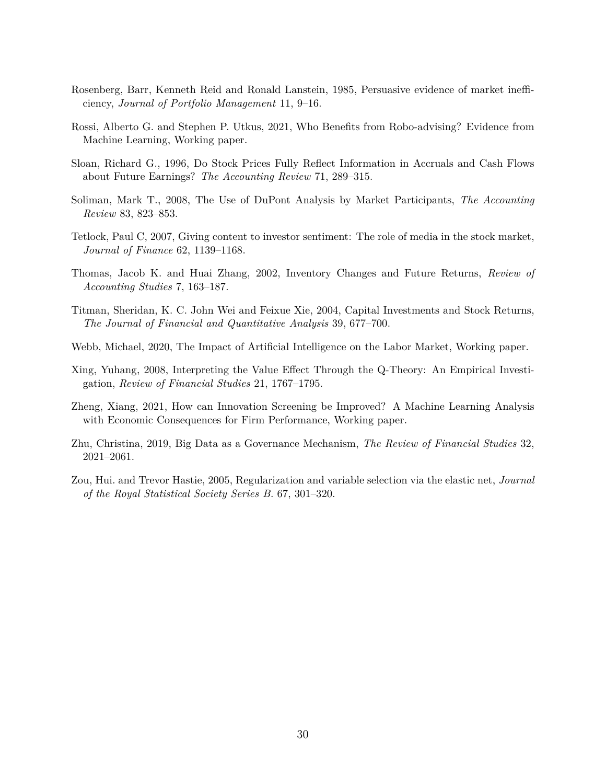- <span id="page-31-7"></span>Rosenberg, Barr, Kenneth Reid and Ronald Lanstein, 1985, Persuasive evidence of market inefficiency, *Journal of Portfolio Management* 11, 9–16.
- <span id="page-31-2"></span>Rossi, Alberto G. and Stephen P. Utkus, 2021, Who Benefits from Robo-advising? Evidence from Machine Learning, Working paper.
- <span id="page-31-6"></span>Sloan, Richard G., 1996, Do Stock Prices Fully Reflect Information in Accruals and Cash Flows about Future Earnings? *The Accounting Review* 71, 289–315.
- <span id="page-31-9"></span>Soliman, Mark T., 2008, The Use of DuPont Analysis by Market Participants, *The Accounting Review* 83, 823–853.
- Tetlock, Paul C, 2007, Giving content to investor sentiment: The role of media in the stock market, *Journal of Finance* 62, 1139–1168.
- <span id="page-31-8"></span>Thomas, Jacob K. and Huai Zhang, 2002, Inventory Changes and Future Returns, *Review of Accounting Studies* 7, 163–187.
- <span id="page-31-4"></span>Titman, Sheridan, K. C. John Wei and Feixue Xie, 2004, Capital Investments and Stock Returns, *The Journal of Financial and Quantitative Analysis* 39, 677–700.
- <span id="page-31-0"></span>Webb, Michael, 2020, The Impact of Artificial Intelligence on the Labor Market, Working paper.
- <span id="page-31-5"></span>Xing, Yuhang, 2008, Interpreting the Value Effect Through the Q-Theory: An Empirical Investigation, *Review of Financial Studies* 21, 1767–1795.
- <span id="page-31-3"></span>Zheng, Xiang, 2021, How can Innovation Screening be Improved? A Machine Learning Analysis with Economic Consequences for Firm Performance, Working paper.
- <span id="page-31-1"></span>Zhu, Christina, 2019, Big Data as a Governance Mechanism, *The Review of Financial Studies* 32, 2021–2061.
- <span id="page-31-10"></span>Zou, Hui. and Trevor Hastie, 2005, Regularization and variable selection via the elastic net, *Journal of the Royal Statistical Society Series B.* 67, 301–320.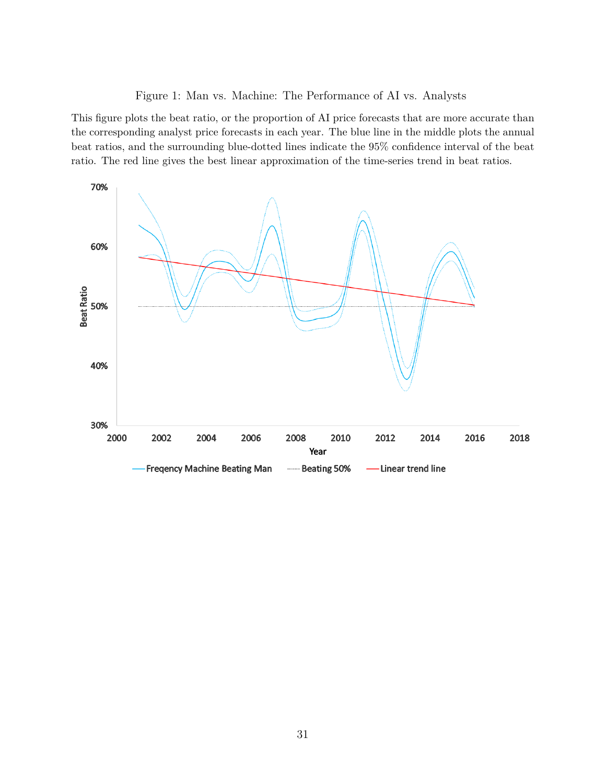<span id="page-32-0"></span>Figure 1: Man vs. Machine: The Performance of AI vs. Analysts

This figure plots the beat ratio, or the proportion of AI price forecasts that are more accurate than the corresponding analyst price forecasts in each year. The blue line in the middle plots the annual beat ratios, and the surrounding blue-dotted lines indicate the 95% confidence interval of the beat ratio. The red line gives the best linear approximation of the time-series trend in beat ratios.

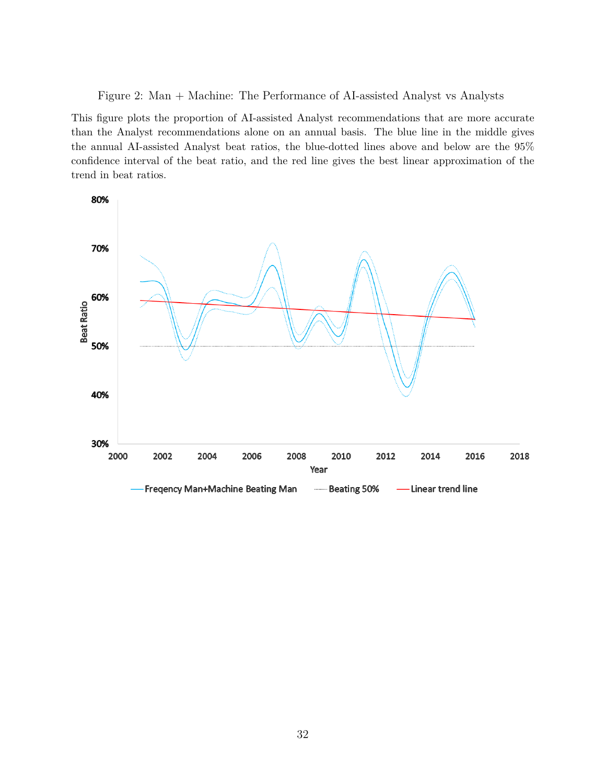<span id="page-33-0"></span>Figure 2: Man + Machine: The Performance of AI-assisted Analyst vs Analysts

This figure plots the proportion of AI-assisted Analyst recommendations that are more accurate than the Analyst recommendations alone on an annual basis. The blue line in the middle gives the annual AI-assisted Analyst beat ratios, the blue-dotted lines above and below are the 95% confidence interval of the beat ratio, and the red line gives the best linear approximation of the trend in beat ratios.

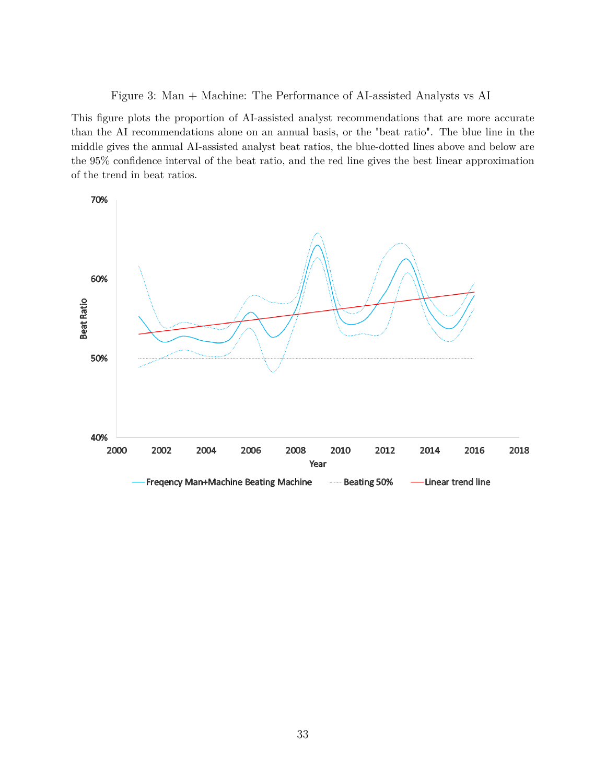<span id="page-34-0"></span>Figure 3: Man + Machine: The Performance of AI-assisted Analysts vs AI

This figure plots the proportion of AI-assisted analyst recommendations that are more accurate than the AI recommendations alone on an annual basis, or the "beat ratio". The blue line in the middle gives the annual AI-assisted analyst beat ratios, the blue-dotted lines above and below are the 95% confidence interval of the beat ratio, and the red line gives the best linear approximation of the trend in beat ratios.

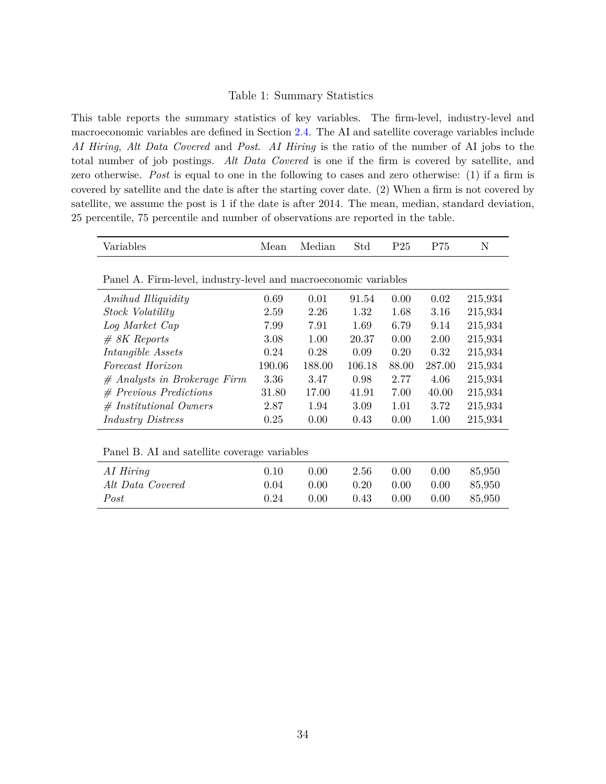#### <span id="page-35-0"></span>Table 1: Summary Statistics

This table reports the summary statistics of key variables. The firm-level, industry-level and macroeconomic variables are defined in Section [2.4.](#page-12-0) The AI and satellite coverage variables include *AI Hiring*, *Alt Data Covered* and *Post*. *AI Hiring* is the ratio of the number of AI jobs to the total number of job postings. *Alt Data Covered* is one if the firm is covered by satellite, and zero otherwise. *Post* is equal to one in the following to cases and zero otherwise: (1) if a firm is covered by satellite and the date is after the starting cover date. (2) When a firm is not covered by satellite, we assume the post is 1 if the date is after 2014. The mean, median, standard deviation, 25 percentile, 75 percentile and number of observations are reported in the table.

| Variables                                                       | Mean   | Median | Std    | P <sub>25</sub> | P75    | N       |
|-----------------------------------------------------------------|--------|--------|--------|-----------------|--------|---------|
|                                                                 |        |        |        |                 |        |         |
| Panel A. Firm-level, industry-level and macroeconomic variables |        |        |        |                 |        |         |
| <i>Amihud Illiquidity</i>                                       | 0.69   | 0.01   | 91.54  | 0.00            | 0.02   | 215,934 |
| Stock Volatility                                                | 2.59   | 2.26   | 1.32   | 1.68            | 3.16   | 215,934 |
| Log Market Cap                                                  | 7.99   | 7.91   | 1.69   | 6.79            | 9.14   | 215,934 |
| $# 8K$ Reports                                                  | 3.08   | 1.00   | 20.37  | 0.00            | 2.00   | 215,934 |
| Intangible Assets                                               | 0.24   | 0.28   | 0.09   | 0.20            | 0.32   | 215,934 |
| Forecast Horizon                                                | 190.06 | 188.00 | 106.18 | 88.00           | 287.00 | 215,934 |
| $#$ Analysts in Brokerage Firm                                  | 3.36   | 3.47   | 0.98   | 2.77            | 4.06   | 215,934 |
| $#$ Previous Predictions                                        | 31.80  | 17.00  | 41.91  | 7.00            | 40.00  | 215,934 |
| $#$ Institutional Owners                                        | 2.87   | 1.94   | 3.09   | 1.01            | 3.72   | 215,934 |
| <i>Industry Distress</i>                                        | 0.25   | 0.00   | 0.43   | 0.00            | 1.00   | 215,934 |
|                                                                 |        |        |        |                 |        |         |
| Panel B. AI and satellite coverage variables                    |        |        |        |                 |        |         |
| AI Hiring                                                       | 0.10   | 0.00   | 2.56   | 0.00            | 0.00   | 85,950  |

*Alt Data Covered* 0.04 0.00 0.20 0.00 0.00 85,950 *Post* 0.24 0.00 0.43 0.00 0.00 85,950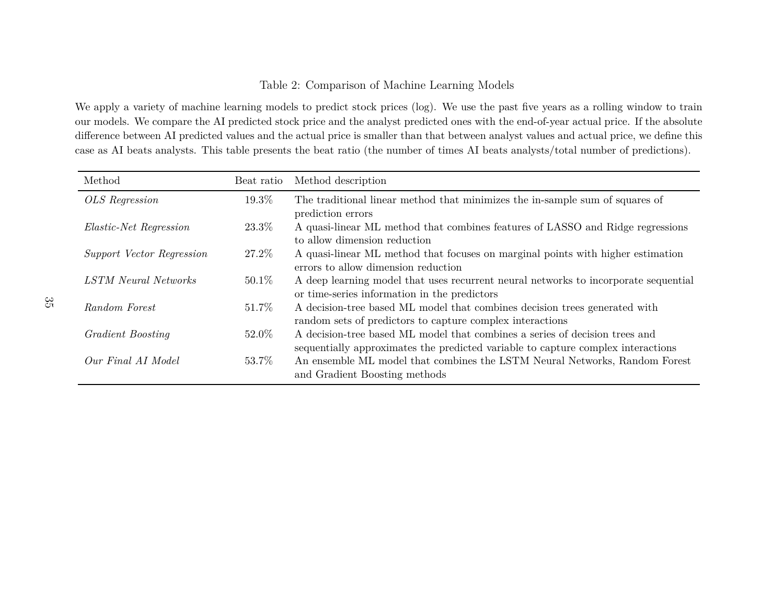## <span id="page-36-0"></span>Table 2: Comparison of Machine Learning Models

We apply <sup>a</sup> variety of machine learning models to predict stock prices (log). We use the past five years as <sup>a</sup> rolling window to train our models. We compare the AI predicted stock price and the analyst predicted ones with the end-of-year actual price. If the absolute difference between AI predicted values and the actual price is smaller than that between analyst values and actual price, we define thiscase as AI beats analysts. This table presents the beat ratio (the number of times AI beats analysts/total number of predictions).

| Method                        | Beat ratio | Method description                                                                                                                                              |
|-------------------------------|------------|-----------------------------------------------------------------------------------------------------------------------------------------------------------------|
| OLS Regression                | 19.3%      | The traditional linear method that minimizes the in-sample sum of squares of<br>prediction errors                                                               |
| <i>Elastic-Net Regression</i> | 23.3\%     | A quasi-linear ML method that combines features of LASSO and Ridge regressions<br>to allow dimension reduction                                                  |
| Support Vector Regression     | 27.2\%     | A quasi-linear ML method that focuses on marginal points with higher estimation<br>errors to allow dimension reduction                                          |
| <b>LSTM</b> Neural Networks   | $50.1\%$   | A deep learning model that uses recurrent neural networks to incorporate sequential<br>or time-series information in the predictors                             |
| Random Forest                 | $51.7\%$   | A decision-tree based ML model that combines decision trees generated with<br>random sets of predictors to capture complex interactions                         |
| Gradient Boosting             | 52.0%      | A decision-tree based ML model that combines a series of decision trees and<br>sequentially approximates the predicted variable to capture complex interactions |
| Our Final AI Model            | 53.7\%     | An ensemble ML model that combines the LSTM Neural Networks, Random Forest<br>and Gradient Boosting methods                                                     |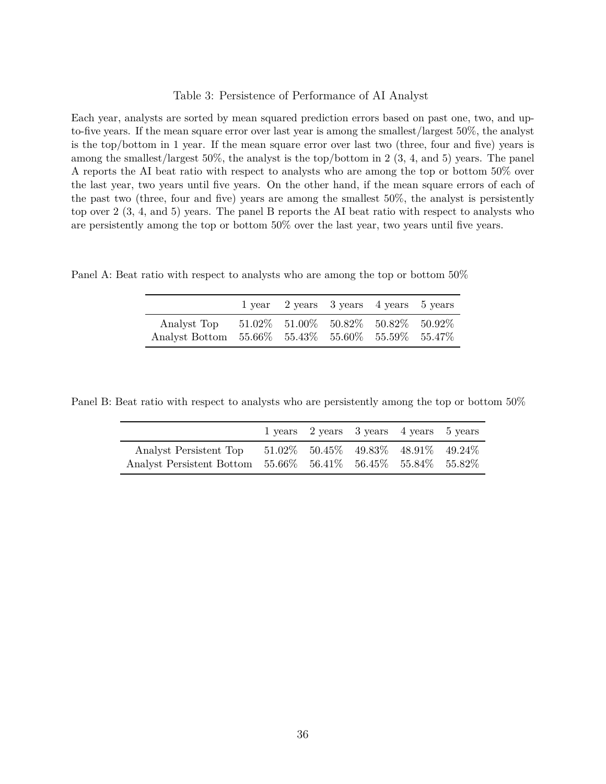#### <span id="page-37-0"></span>Table 3: Persistence of Performance of AI Analyst

Each year, analysts are sorted by mean squared prediction errors based on past one, two, and upto-five years. If the mean square error over last year is among the smallest/largest 50%, the analyst is the top/bottom in 1 year. If the mean square error over last two (three, four and five) years is among the smallest/largest 50%, the analyst is the top/bottom in 2 (3, 4, and 5) years. The panel A reports the AI beat ratio with respect to analysts who are among the top or bottom 50% over the last year, two years until five years. On the other hand, if the mean square errors of each of the past two (three, four and five) years are among the smallest 50%, the analyst is persistently top over 2 (3, 4, and 5) years. The panel B reports the AI beat ratio with respect to analysts who are persistently among the top or bottom 50% over the last year, two years until five years.

Panel A: Beat ratio with respect to analysts who are among the top or bottom 50%

|                                                                                                          | 1 year 2 years 3 years 4 years 5 years |  |  |
|----------------------------------------------------------------------------------------------------------|----------------------------------------|--|--|
| Analyst Top 51.02\% 51.00\% 50.82\% 50.82\% 50.92\%<br>Analyst Bottom 55.66% 55.43% 55.60% 55.59% 55.47% |                                        |  |  |

Panel B: Beat ratio with respect to analysts who are persistently among the top or bottom 50%

|                                                                | 1 years 2 years 3 years 4 years 5 years |  |  |
|----------------------------------------------------------------|-----------------------------------------|--|--|
| Analyst Persistent Top 51.02\% 50.45\% 49.83\% 48.91\% 49.24\% |                                         |  |  |
| Analyst Persistent Bottom 55.66% 56.41% 56.45% 55.84% 55.82%   |                                         |  |  |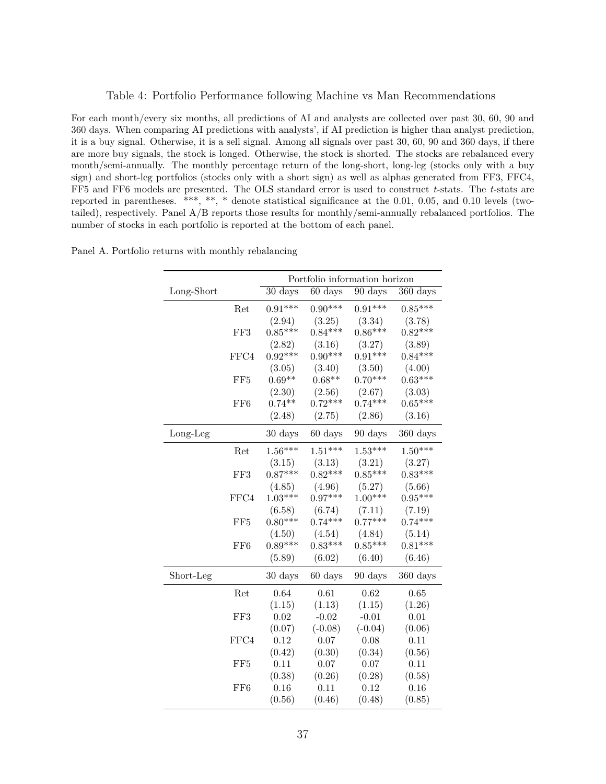#### <span id="page-38-0"></span>Table 4: Portfolio Performance following Machine vs Man Recommendations

For each month/every six months, all predictions of AI and analysts are collected over past 30, 60, 90 and 360 days. When comparing AI predictions with analysts', if AI prediction is higher than analyst prediction, it is a buy signal. Otherwise, it is a sell signal. Among all signals over past 30, 60, 90 and 360 days, if there are more buy signals, the stock is longed. Otherwise, the stock is shorted. The stocks are rebalanced every month/semi-annually. The monthly percentage return of the long-short, long-leg (stocks only with a buy sign) and short-leg portfolios (stocks only with a short sign) as well as alphas generated from FF3, FFC4, FF5 and FF6 models are presented. The OLS standard error is used to construct *t*-stats. The *t*-stats are reported in parentheses. \*\*\*, \*\*, \* denote statistical significance at the 0.01, 0.05, and 0.10 levels (twotailed), respectively. Panel A/B reports those results for monthly/semi-annually rebalanced portfolios. The number of stocks in each portfolio is reported at the bottom of each panel.

|            | Portfolio information horizon |                      |                   |                   |                    |
|------------|-------------------------------|----------------------|-------------------|-------------------|--------------------|
| Long-Short |                               | $\overline{30}$ days | $60 \text{ days}$ | $90 \text{ days}$ | $360 \text{ days}$ |
|            | Ret                           | $0.91***$            | $0.90***$         | $0.91***$         | $0.85***$          |
|            |                               | (2.94)               | (3.25)            | (3.34)            | (3.78)             |
|            | FF3                           | $0.85***$            | $0.84***$         | $0.86***$         | $0.82***$          |
|            |                               | (2.82)               | (3.16)            | (3.27)            | (3.89)             |
|            | FFC4                          | $0.92***$            | $0.90***$         | $0.91***$         | $0.84***$          |
|            |                               | (3.05)               | (3.40)            | (3.50)            | (4.00)             |
|            | FF <sub>5</sub>               | $0.69**$             | $0.68**$          | $0.70***$         | $0.63***$          |
|            |                               | (2.30)               | (2.56)            | (2.67)            | (3.03)             |
|            | FF <sub>6</sub>               | $0.74**$             | $0.72***$         | $0.74***$         | $0.65***$          |
|            |                               | (2.48)               | (2.75)            | (2.86)            | (3.16)             |
| $Long-Leg$ |                               | 30 days              | 60 days           | 90 days           | $360 \text{ days}$ |
|            | Ret                           | $1.56***$            | $1.51***$         | $1.53***$         | $1.50***$          |
|            |                               | (3.15)               | (3.13)            | (3.21)            | (3.27)             |
|            | FF3                           | $0.87***$            | $0.82***$         | $0.85***$         | $0.83***$          |
|            |                               | (4.85)               | (4.96)            | (5.27)            | (5.66)             |
|            | FFC4                          | $1.03***$            | $0.97***$         | $1.00***$         | $0.95***$          |
|            |                               | (6.58)               | (6.74)            | (7.11)            | (7.19)             |
|            | FF <sub>5</sub>               | $0.80***$            | $0.74***$         | $0.77***$         | $0.74***$          |
|            |                               | (4.50)               | (4.54)            | (4.84)            | (5.14)             |
|            | FF <sub>6</sub>               | $0.89***$            | $0.83***$         | $0.85***$         | $0.81***$          |
|            |                               | (5.89)               | (6.02)            | (6.40)            | (6.46)             |
| Short-Leg  |                               | 30 days              | 60 days           | 90 days           | 360 days           |
|            | Ret                           | 0.64                 | 0.61              | 0.62              | 0.65               |
|            |                               | (1.15)               | (1.13)            | (1.15)            | (1.26)             |
|            | FF3                           | 0.02                 | $-0.02$           | $-0.01$           | 0.01               |
|            |                               | (0.07)               | $(-0.08)$         | $(-0.04)$         | (0.06)             |
|            | FFC4                          | 0.12                 | 0.07              | 0.08              | 0.11               |
|            |                               | (0.42)               | (0.30)            | (0.34)            | (0.56)             |
|            | FF <sub>5</sub>               | 0.11                 | 0.07              | 0.07              | 0.11               |
|            |                               | (0.38)               | (0.26)            | (0.28)            | (0.58)             |
|            | FF <sub>6</sub>               | 0.16                 | 0.11              | 0.12              | 0.16               |
|            |                               | (0.56)               | (0.46)            | (0.48)            | (0.85)             |

Panel A. Portfolio returns with monthly rebalancing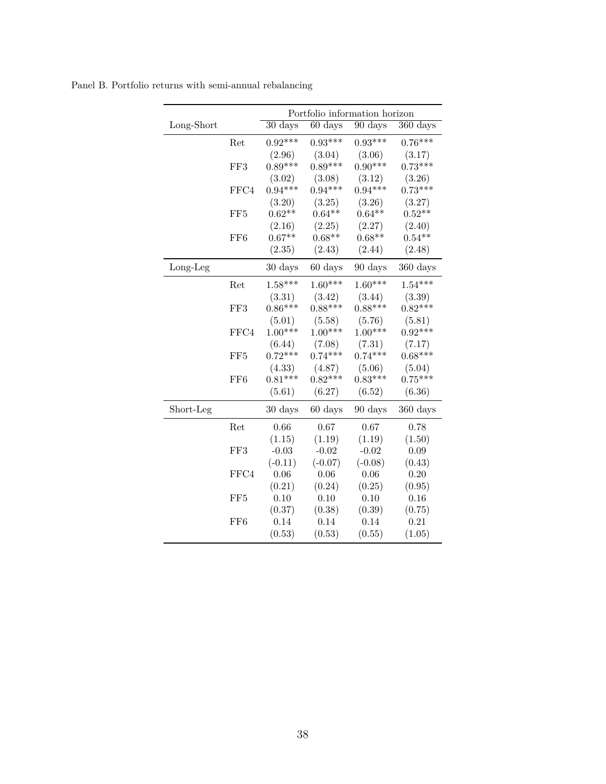|            |                 | Portfolio information horizon |                   |                      |                       |
|------------|-----------------|-------------------------------|-------------------|----------------------|-----------------------|
| Long-Short |                 | 30 days                       | 60 days           | 90 days              | $\overline{360}$ days |
|            | Ret             | $0.92***$                     | $0.93***$         | $0.93***$            | $0.76***$             |
|            |                 | (2.96)                        | (3.04)            | (3.06)               | (3.17)                |
|            | FF3             | $0.89***$                     | $0.89***$         | $0.90***$            | $0.73***$             |
|            |                 | (3.02)                        | (3.08)            | (3.12)               | (3.26)                |
|            | FFC4            | $0.94***$                     | $0.94***$         | $0.94***$            | $0.73***$             |
|            |                 | (3.20)                        | (3.25)            | (3.26)               | (3.27)                |
|            | FF <sub>5</sub> | $0.62**$                      | $0.64**$          | $0.64**$             | $0.52**$              |
|            |                 | (2.16)                        | (2.25)            | (2.27)               | (2.40)                |
|            | FF <sub>6</sub> | $0.67**$                      | $0.68**$          | $0.68**$             | $0.54**$              |
|            |                 | (2.35)                        | (2.43)            | (2.44)               | (2.48)                |
| Long-Leg   |                 | 30 days                       | $60 \text{ days}$ | $90 \ \mathrm{days}$ | 360 days              |
|            | Ret             | $1.58***$                     | $1.60***$         | $1.60***$            | $1.54***$             |
|            |                 | (3.31)                        | (3.42)            | (3.44)               | (3.39)                |
|            | FF3             | $0.86***$                     | $0.88***$         | $0.88***$            | $0.82***$             |
|            |                 | (5.01)                        | (5.58)            | (5.76)               | (5.81)                |
|            | FFC4            | $1.00***$                     | $1.00***$         | $1.00***$            | $0.92***$             |
|            |                 | (6.44)                        | (7.08)            | (7.31)               | (7.17)                |
|            | FF <sub>5</sub> | $0.72***$                     | $0.74***$         | $0.74***$            | $0.68***$             |
|            |                 | (4.33)                        | (4.87)            | (5.06)               | (5.04)                |
|            | FF <sub>6</sub> | $0.81***$                     | $0.82***$         | $0.83***$            | $0.75***$             |
|            |                 | (5.61)                        | (6.27)            | (6.52)               | (6.36)                |
| Short-Leg  |                 | 30 days                       | 60 days           | 90 days              | 360 days              |
|            | Ret             | 0.66                          | 0.67              | 0.67                 | 0.78                  |
|            |                 | (1.15)                        | (1.19)            | (1.19)               | (1.50)                |
|            | FF3             | $-0.03$                       | $-0.02$           | $-0.02$              | 0.09                  |
|            |                 | $(-0.11)$                     | $(-0.07)$         | $(-0.08)$            | (0.43)                |
|            | FFC4            | 0.06                          | 0.06              | 0.06                 | 0.20                  |
|            |                 | (0.21)                        | (0.24)            | (0.25)               | (0.95)                |
|            | FF5             | 0.10                          | 0.10              | 0.10                 | 0.16                  |
|            |                 | (0.37)                        | (0.38)            | (0.39)               | (0.75)                |
|            | FF <sub>6</sub> | 0.14                          | 0.14              | 0.14                 | 0.21                  |
|            |                 | (0.53)                        | (0.53)            | (0.55)               | (1.05)                |

Panel B. Portfolio returns with semi-annual rebalancing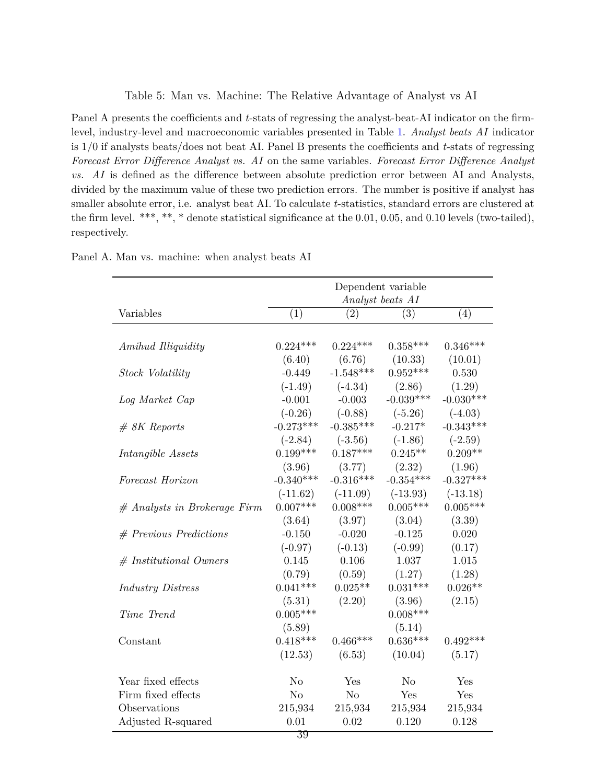<span id="page-40-0"></span>Table 5: Man vs. Machine: The Relative Advantage of Analyst vs AI

Panel A presents the coefficients and *t*-stats of regressing the analyst-beat-AI indicator on the firmlevel, industry-level and macroeconomic variables presented in Table [1.](#page-35-0) *Analyst beats AI* indicator is 1/0 if analysts beats/does not beat AI. Panel B presents the coefficients and *t*-stats of regressing *Forecast Error Difference Analyst vs. AI* on the same variables. *Forecast Error Difference Analyst vs. AI* is defined as the difference between absolute prediction error between AI and Analysts, divided by the maximum value of these two prediction errors. The number is positive if analyst has smaller absolute error, i.e. analyst beat AI. To calculate *t*-statistics, standard errors are clustered at the firm level. \*\*\*, \*\*, \* denote statistical significance at the 0.01, 0.05, and 0.10 levels (two-tailed), respectively.

|                                | Dependent variable<br>Analyst beats AI |                |                |             |
|--------------------------------|----------------------------------------|----------------|----------------|-------------|
| Variables                      | (1)                                    | (2)            | (3)            | (4)         |
|                                |                                        |                |                |             |
| Amihud Illiquidity             | $0.224***$                             | $0.224***$     | $0.358***$     | $0.346***$  |
|                                | (6.40)                                 | (6.76)         | (10.33)        | (10.01)     |
| Stock Volatility               | $-0.449$                               | $-1.548***$    | $0.952***$     | 0.530       |
|                                | $(-1.49)$                              | $(-4.34)$      | (2.86)         | (1.29)      |
| Log Market Cap                 | $-0.001$                               | $-0.003$       | $-0.039***$    | $-0.030***$ |
|                                | $(-0.26)$                              | $(-0.88)$      | $(-5.26)$      | $(-4.03)$   |
| $# 8K$ Reports                 | $-0.273***$                            | $-0.385***$    | $-0.217*$      | $-0.343***$ |
|                                | $(-2.84)$                              | $(-3.56)$      | $(-1.86)$      | $(-2.59)$   |
| Intangible Assets              | $0.199***$                             | $0.187***$     | $0.245**$      | $0.209**$   |
|                                | (3.96)                                 | (3.77)         | (2.32)         | (1.96)      |
| Forecast Horizon               | $-0.340***$                            | $-0.316***$    | $-0.354***$    | $-0.327***$ |
|                                | $(-11.62)$                             | $(-11.09)$     | $(-13.93)$     | $(-13.18)$  |
| $#$ Analysts in Brokerage Firm | $0.007***$                             | $0.008***$     | $0.005***$     | $0.005***$  |
|                                | (3.64)                                 | (3.97)         | (3.04)         | (3.39)      |
| $#$ Previous Predictions       | $-0.150$                               | $-0.020$       | $-0.125$       | 0.020       |
|                                | $(-0.97)$                              | $(-0.13)$      | $(-0.99)$      | (0.17)      |
| $#$ Institutional Owners       | 0.145                                  | 0.106          | 1.037          | 1.015       |
|                                | (0.79)                                 | (0.59)         | (1.27)         | (1.28)      |
| <b>Industry Distress</b>       | $0.041***$                             | $0.025**$      | $0.031***$     | $0.026**$   |
|                                | (5.31)                                 | (2.20)         | (3.96)         | (2.15)      |
| Time Trend                     | $0.005***$                             |                | $0.008***$     |             |
|                                | (5.89)                                 |                | (5.14)         |             |
| Constant                       | $0.418***$                             | $0.466***$     | $0.636***$     | $0.492***$  |
|                                | (12.53)                                | (6.53)         | (10.04)        | (5.17)      |
| Year fixed effects             | N <sub>o</sub>                         | Yes            | N <sub>o</sub> | Yes         |
| Firm fixed effects             | N <sub>o</sub>                         | N <sub>o</sub> | Yes            | Yes         |
| Observations                   | 215,934                                | 215,934        | 215,934        | 215,934     |
| Adjusted R-squared             | 0.01                                   | 0.02           | 0.120          | 0.128       |

Panel A. Man vs. machine: when analyst beats AI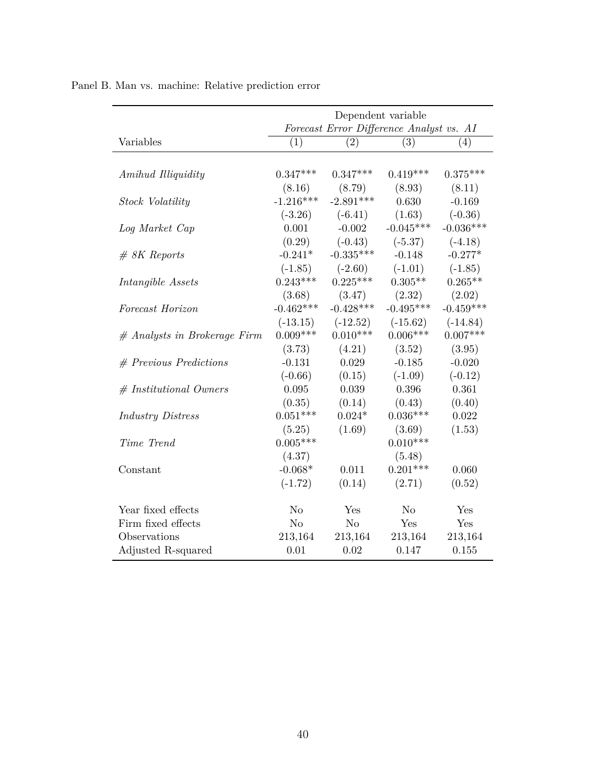|                                | Dependent variable                       |                |                |             |  |  |
|--------------------------------|------------------------------------------|----------------|----------------|-------------|--|--|
|                                | Forecast Error Difference Analyst vs. AI |                |                |             |  |  |
| Variables                      | (1)                                      | (2)            | (3)            | (4)         |  |  |
| Amihud Illiquidity             | $0.347***$                               | $0.347***$     | $0.419***$     | $0.375***$  |  |  |
|                                | (8.16)                                   | (8.79)         | (8.93)         | (8.11)      |  |  |
| Stock Volatility               | $-1.216***$                              | $-2.891***$    | 0.630          | $-0.169$    |  |  |
|                                | $(-3.26)$                                | $(-6.41)$      | (1.63)         | $(-0.36)$   |  |  |
| Log Market Cap                 | 0.001                                    | $-0.002$       | $-0.045***$    | $-0.036***$ |  |  |
|                                | (0.29)                                   | $(-0.43)$      | $(-5.37)$      | $(-4.18)$   |  |  |
| $# 8K$ Reports                 | $-0.241*$                                | $-0.335***$    | $-0.148$       | $-0.277*$   |  |  |
|                                | $(-1.85)$                                | $(-2.60)$      | $(-1.01)$      | $(-1.85)$   |  |  |
| Intangible Assets              | $0.243***$                               | $0.225***$     | $0.305**$      | $0.265**$   |  |  |
|                                | (3.68)                                   | (3.47)         | (2.32)         | (2.02)      |  |  |
| Forecast Horizon               | $-0.462***$                              | $-0.428***$    | $-0.495***$    | $-0.459***$ |  |  |
|                                | $(-13.15)$                               | $(-12.52)$     | $(-15.62)$     | $(-14.84)$  |  |  |
| $#$ Analysts in Brokerage Firm | $0.009***$                               | $0.010***$     | $0.006***$     | $0.007***$  |  |  |
|                                | (3.73)                                   | (4.21)         | (3.52)         | (3.95)      |  |  |
| $#$ Previous Predictions       | $-0.131$                                 | 0.029          | $-0.185$       | $-0.020$    |  |  |
|                                | $(-0.66)$                                | (0.15)         | $(-1.09)$      | $(-0.12)$   |  |  |
| $#$ Institutional Owners       | 0.095                                    | 0.039          | 0.396          | 0.361       |  |  |
|                                | (0.35)                                   | (0.14)         | (0.43)         | (0.40)      |  |  |
| <b>Industry Distress</b>       | $0.051***$                               | $0.024*$       | $0.036***$     | 0.022       |  |  |
|                                | (5.25)                                   | (1.69)         | (3.69)         | (1.53)      |  |  |
| Time Trend                     | $0.005***$                               |                | $0.010***$     |             |  |  |
|                                | (4.37)                                   |                | (5.48)         |             |  |  |
| Constant                       | $-0.068*$                                | 0.011          | $0.201***$     | 0.060       |  |  |
|                                | $(-1.72)$                                | (0.14)         | (2.71)         | (0.52)      |  |  |
| Year fixed effects             | N <sub>o</sub>                           | Yes            | N <sub>o</sub> | Yes         |  |  |
| Firm fixed effects             | N <sub>o</sub>                           | N <sub>o</sub> | Yes            | Yes         |  |  |
| Observations                   | 213,164                                  | 213,164        | 213,164        | 213,164     |  |  |
| Adjusted R-squared             | 0.01                                     | 0.02           | 0.147          | 0.155       |  |  |

Panel B. Man vs. machine: Relative prediction error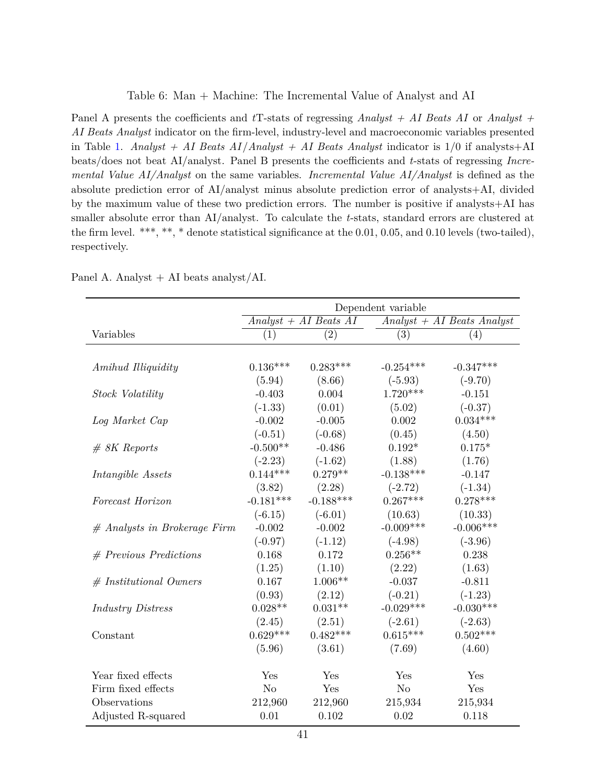#### <span id="page-42-0"></span>Table 6: Man + Machine: The Incremental Value of Analyst and AI

Panel A presents the coefficients and *t*T-stats of regressing *Analyst + AI Beats AI* or *Analyst + AI Beats Analyst* indicator on the firm-level, industry-level and macroeconomic variables presented in Table [1.](#page-35-0) *Analyst + AI Beats AI* /*Analyst + AI Beats Analyst* indicator is 1/0 if analysts+AI beats/does not beat AI/analyst. Panel B presents the coefficients and *t*-stats of regressing *Incremental Value AI/Analyst* on the same variables. *Incremental Value AI/Analyst* is defined as the absolute prediction error of AI/analyst minus absolute prediction error of analysts+AI, divided by the maximum value of these two prediction errors. The number is positive if analysts+AI has smaller absolute error than AI/analyst. To calculate the *t*-stats, standard errors are clustered at the firm level. \*\*\*, \*\*, \* denote statistical significance at the 0.01, 0.05, and 0.10 levels (two-tailed), respectively.

|                                | Dependent variable |                                    |                |                              |  |
|--------------------------------|--------------------|------------------------------------|----------------|------------------------------|--|
|                                |                    | $Analyst + \overline{AI}$ Beats AI |                | $Analyst + AI$ Beats Analyst |  |
| Variables                      | (1)                | $\left( 2\right)$                  | (3)            | $\left( 4\right)$            |  |
|                                |                    |                                    |                |                              |  |
| Amihud Illiquidity             | $0.136***$         | $0.283***$                         | $-0.254***$    | $-0.347***$                  |  |
|                                | (5.94)             | (8.66)                             | $(-5.93)$      | $(-9.70)$                    |  |
| <b>Stock Volatility</b>        | $-0.403$           | 0.004                              | $1.720***$     | $-0.151$                     |  |
|                                | $(-1.33)$          | (0.01)                             | (5.02)         | $(-0.37)$                    |  |
| Log Market Cap                 | $-0.002$           | $-0.005$                           | 0.002          | $0.034***$                   |  |
|                                | $(-0.51)$          | $(-0.68)$                          | (0.45)         | (4.50)                       |  |
| $# 8K$ Reports                 | $-0.500**$         | $-0.486$                           | $0.192*$       | $0.175*$                     |  |
|                                | $(-2.23)$          | $(-1.62)$                          | (1.88)         | (1.76)                       |  |
| Intangible Assets              | $0.144***$         | $0.279**$                          | $-0.138***$    | $-0.147$                     |  |
|                                | (3.82)             | (2.28)                             | $(-2.72)$      | $(-1.34)$                    |  |
| Forecast Horizon               | $-0.181***$        | $-0.188***$                        | $0.267***$     | $0.278***$                   |  |
|                                | $(-6.15)$          | $(-6.01)$                          | (10.63)        | (10.33)                      |  |
| $#$ Analysts in Brokerage Firm | $-0.002$           | $-0.002$                           | $-0.009***$    | $-0.006***$                  |  |
|                                | $(-0.97)$          | $(-1.12)$                          | $(-4.98)$      | $(-3.96)$                    |  |
| $#$ Previous Predictions       | 0.168              | 0.172                              | $0.256**$      | 0.238                        |  |
|                                | (1.25)             | (1.10)                             | (2.22)         | (1.63)                       |  |
| $#$ Institutional Owners       | 0.167              | $1.006**$                          | $-0.037$       | $-0.811$                     |  |
|                                | (0.93)             | (2.12)                             | $(-0.21)$      | $(-1.23)$                    |  |
| <b>Industry Distress</b>       | $0.028**$          | $0.031**$                          | $-0.029***$    | $-0.030***$                  |  |
|                                | (2.45)             | (2.51)                             | $(-2.61)$      | $(-2.63)$                    |  |
| Constant                       | $0.629***$         | $0.482***$                         | $0.615***$     | $0.502***$                   |  |
|                                | (5.96)             | (3.61)                             | (7.69)         | (4.60)                       |  |
| Year fixed effects             | Yes                | Yes                                | Yes            | Yes                          |  |
| Firm fixed effects             | N <sub>o</sub>     | Yes                                | N <sub>o</sub> | Yes                          |  |
| Observations                   | 212,960            | 212,960                            | 215,934        | 215,934                      |  |
| Adjusted R-squared             | 0.01               | 0.102                              | 0.02           | 0.118                        |  |

Panel A. Analyst  $+$  AI beats analyst/AI.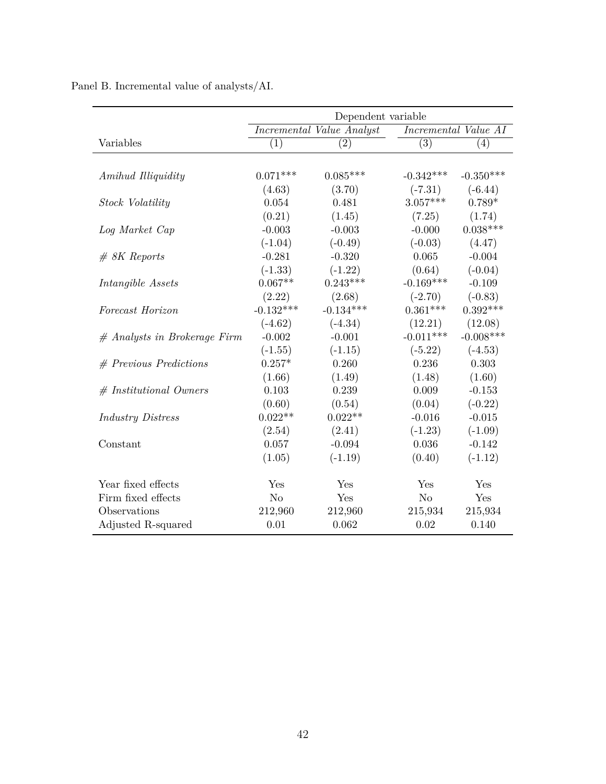|                                | Dependent variable |                           |                |                      |  |
|--------------------------------|--------------------|---------------------------|----------------|----------------------|--|
|                                |                    | Incremental Value Analyst |                | Incremental Value AI |  |
| Variables                      | (1)                | (2)                       | (3)            | (4)                  |  |
|                                |                    |                           |                |                      |  |
| Amihud Illiquidity             | $0.071***$         | $0.085***$                | $-0.342***$    | $-0.350***$          |  |
|                                | (4.63)             | (3.70)                    | $(-7.31)$      | $(-6.44)$            |  |
| Stock Volatility               | 0.054              | 0.481                     | $3.057***$     | $0.789*$             |  |
|                                | (0.21)             | (1.45)                    | (7.25)         | (1.74)               |  |
| Log Market Cap                 | $-0.003$           | $-0.003$                  | $-0.000$       | $0.038***$           |  |
|                                | $(-1.04)$          | $(-0.49)$                 | $(-0.03)$      | (4.47)               |  |
| $# 8K$ Reports                 | $-0.281$           | $-0.320$                  | 0.065          | $-0.004$             |  |
|                                | $(-1.33)$          | $(-1.22)$                 | (0.64)         | $(-0.04)$            |  |
| Intangible Assets              | $0.067**$          | $0.243***$                | $-0.169***$    | $-0.109$             |  |
|                                | (2.22)             | (2.68)                    | $(-2.70)$      | $(-0.83)$            |  |
| Forecast Horizon               | $-0.132***$        | $-0.134***$               | $0.361***$     | $0.392***$           |  |
|                                | $(-4.62)$          | $(-4.34)$                 | (12.21)        | (12.08)              |  |
| $#$ Analysts in Brokerage Firm | $-0.002$           | $-0.001$                  | $-0.011***$    | $-0.008***$          |  |
|                                | $(-1.55)$          | $(-1.15)$                 | $(-5.22)$      | $(-4.53)$            |  |
| $#$ Previous Predictions       | $0.257*$           | 0.260                     | 0.236          | 0.303                |  |
|                                | (1.66)             | (1.49)                    | (1.48)         | (1.60)               |  |
| $#$ Institutional Owners       | 0.103              | 0.239                     | 0.009          | $-0.153$             |  |
|                                | (0.60)             | (0.54)                    | (0.04)         | $(-0.22)$            |  |
| <b>Industry Distress</b>       | $0.022**$          | $0.022**$                 | $-0.016$       | $-0.015$             |  |
|                                | (2.54)             | (2.41)                    | $(-1.23)$      | $(-1.09)$            |  |
| Constant                       | 0.057              | $-0.094$                  | 0.036          | $-0.142$             |  |
|                                | (1.05)             | $(-1.19)$                 | (0.40)         | $(-1.12)$            |  |
| Year fixed effects             | Yes                | Yes                       | Yes            | Yes                  |  |
| Firm fixed effects             | N <sub>o</sub>     | Yes                       | N <sub>o</sub> | Yes                  |  |
| Observations                   | 212,960            | 212,960                   | 215,934        | 215,934              |  |
| Adjusted R-squared             | 0.01               | 0.062                     | 0.02           | 0.140                |  |
|                                |                    |                           |                |                      |  |

Panel B. Incremental value of analysts/AI.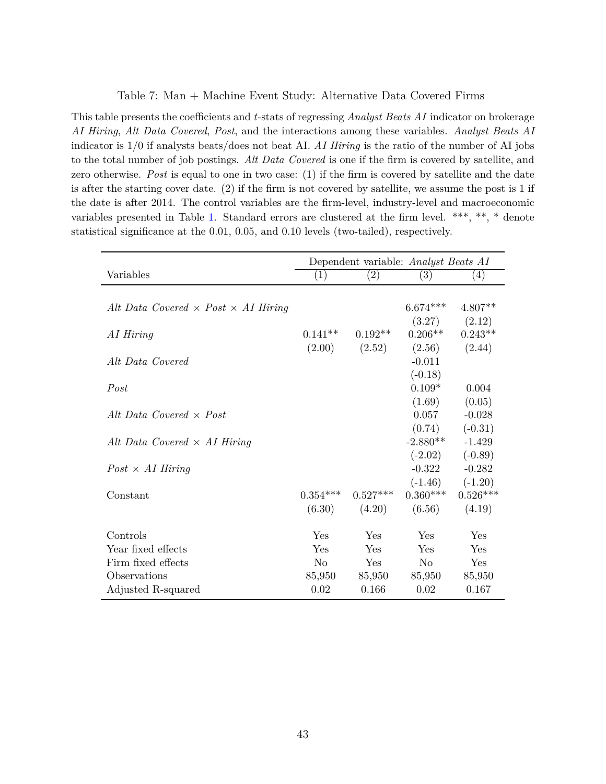#### <span id="page-44-0"></span>Table 7: Man + Machine Event Study: Alternative Data Covered Firms

This table presents the coefficients and *t*-stats of regressing *Analyst Beats AI* indicator on brokerage *AI Hiring*, *Alt Data Covered*, *Post*, and the interactions among these variables. *Analyst Beats AI* indicator is 1/0 if analysts beats/does not beat AI. *AI Hiring* is the ratio of the number of AI jobs to the total number of job postings. *Alt Data Covered* is one if the firm is covered by satellite, and zero otherwise. *Post* is equal to one in two case: (1) if the firm is covered by satellite and the date is after the starting cover date. (2) if the firm is not covered by satellite, we assume the post is 1 if the date is after 2014. The control variables are the firm-level, industry-level and macroeconomic variables presented in Table [1.](#page-35-0) Standard errors are clustered at the firm level. \*\*\*, \*\*, \* denote statistical significance at the 0.01, 0.05, and 0.10 levels (two-tailed), respectively.

|                                                   | Dependent variable: Analyst Beats AI |            |                |            |
|---------------------------------------------------|--------------------------------------|------------|----------------|------------|
| Variables                                         | (1)                                  | (2)        | (3)            | (4)        |
|                                                   |                                      |            |                |            |
| Alt Data Covered $\times$ Post $\times$ AI Hiring |                                      |            | $6.674***$     | $4.807**$  |
|                                                   |                                      |            | (3.27)         | (2.12)     |
| AI Hiring                                         | $0.141**$                            | $0.192**$  | $0.206**$      | $0.243**$  |
|                                                   | (2.00)                               | (2.52)     | (2.56)         | (2.44)     |
| Alt Data Covered                                  |                                      |            | $-0.011$       |            |
|                                                   |                                      |            | $(-0.18)$      |            |
| Post                                              |                                      |            | $0.109*$       | 0.004      |
|                                                   |                                      |            | (1.69)         | (0.05)     |
| Alt Data Covered $\times$ Post                    |                                      |            | 0.057          | $-0.028$   |
|                                                   |                                      |            | (0.74)         | $(-0.31)$  |
| Alt Data Covered $\times$ AI Hiring               |                                      |            | $-2.880**$     | $-1.429$   |
|                                                   |                                      |            | $(-2.02)$      | $(-0.89)$  |
| $Post \times AI$ Hiring                           |                                      |            | $-0.322$       | $-0.282$   |
|                                                   |                                      |            | $(-1.46)$      | $(-1.20)$  |
| Constant                                          | $0.354***$                           | $0.527***$ | $0.360***$     | $0.526***$ |
|                                                   | (6.30)                               | (4.20)     | (6.56)         | (4.19)     |
|                                                   |                                      |            |                |            |
| Controls                                          | Yes                                  | Yes        | Yes            | Yes        |
| Year fixed effects                                | Yes                                  | Yes        | Yes            | Yes        |
| Firm fixed effects                                | N <sub>o</sub>                       | Yes        | N <sub>o</sub> | Yes        |
| Observations                                      | 85,950                               | 85,950     | 85,950         | 85,950     |
| Adjusted R-squared                                | 0.02                                 | 0.166      | 0.02           | 0.167      |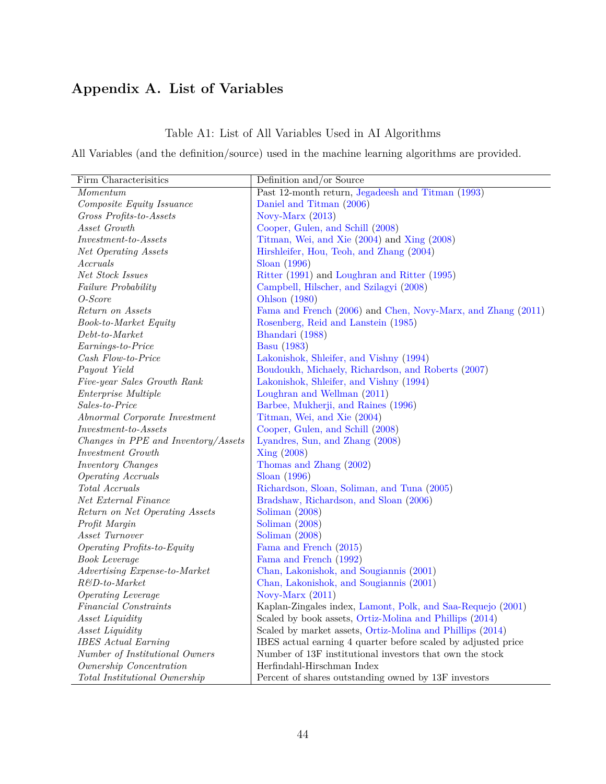# **Appendix A. List of Variables**

# Table A1: List of All Variables Used in AI Algorithms

All Variables (and the definition/source) used in the machine learning algorithms are provided.

| Firm Characterisitics                    | Definition and/or Source                                      |
|------------------------------------------|---------------------------------------------------------------|
| Momentum                                 | Past 12-month return, Jegadeesh and Titman (1993)             |
| Composite Equity Issuance                | Daniel and Titman (2006)                                      |
| Gross Profits-to-Assets                  | Novy-Marx $(2013)$                                            |
| Asset Growth                             | Cooper, Gulen, and Schill (2008)                              |
| $Investment\text{-}to\text{-}Assets$     | Titman, Wei, and Xie (2004) and Xing (2008)                   |
| Net Operating Assets                     | Hirshleifer, Hou, Teoh, and Zhang (2004)                      |
| Accruals                                 | Sloan $(1996)$                                                |
| Net Stock Issues                         | Ritter (1991) and Loughran and Ritter (1995)                  |
| Failure Probability                      | Campbell, Hilscher, and Szilagyi (2008)                       |
| O-Score                                  | Ohlson (1980)                                                 |
| Return on Assets                         | Fama and French (2006) and Chen, Novy-Marx, and Zhang (2011)  |
| Book-to-Market Equity                    | Rosenberg, Reid and Lanstein (1985)                           |
| $Debt-to-Marker$                         | Bhandari (1988)                                               |
| Earnings-to-Price                        | <b>Basu</b> (1983)                                            |
| Cash Flow-to-Price                       | Lakonishok, Shleifer, and Vishny (1994)                       |
| Payout Yield                             | Boudoukh, Michaely, Richardson, and Roberts (2007)            |
| Five-year Sales Growth Rank              | Lakonishok, Shleifer, and Vishny (1994)                       |
| Enterprise Multiple                      | Loughran and Wellman (2011)                                   |
| Sales-to-Price                           | Barbee, Mukherji, and Raines (1996)                           |
| Abnormal Corporate Investment            | Titman, Wei, and Xie (2004)                                   |
| $\it Investment\text{-}to\text{-}Assets$ | Cooper, Gulen, and Schill (2008)                              |
| Changes in PPE and Inventory/Assets      | Lyandres, Sun, and Zhang (2008)                               |
| <i>Investment Growth</i>                 | Xing (2008)                                                   |
| Inventory Changes                        | Thomas and Zhang (2002)                                       |
| <b>Operating Accruals</b>                | Sloan $(1996)$                                                |
| Total Accruals                           | Richardson, Sloan, Soliman, and Tuna (2005)                   |
| Net External Finance                     | Bradshaw, Richardson, and Sloan (2006)                        |
| Return on Net Operating Assets           | Soliman $(2008)$                                              |
| Profit Margin                            | Soliman $(2008)$                                              |
| Asset Turnover                           | Soliman $(2008)$                                              |
| Operating Profits-to-Equity              | Fama and French (2015)                                        |
| <b>Book Leverage</b>                     | Fama and French (1992)                                        |
| Advertising Expense-to-Market            | Chan, Lakonishok, and Sougiannis (2001)                       |
| $R\&D\text{-}to\text{-}Market$           | Chan, Lakonishok, and Sougiannis (2001)                       |
| Operating Leverage                       | Novy-Marx $(2011)$                                            |
| Financial Constraints                    | Kaplan-Zingales index, Lamont, Polk, and Saa-Requejo (2001)   |
| Asset Liquidity                          | Scaled by book assets, Ortiz-Molina and Phillips (2014)       |
| Asset Liquidity                          | Scaled by market assets, Ortiz-Molina and Phillips (2014)     |
| <b>IBES</b> Actual Earning               | IBES actual earning 4 quarter before scaled by adjusted price |
| Number of Institutional Owners           | Number of 13F institutional investors that own the stock      |
| Ownership Concentration                  | Herfindahl-Hirschman Index                                    |
| <i>Total Institutional Ownership</i>     | Percent of shares outstanding owned by 13F investors          |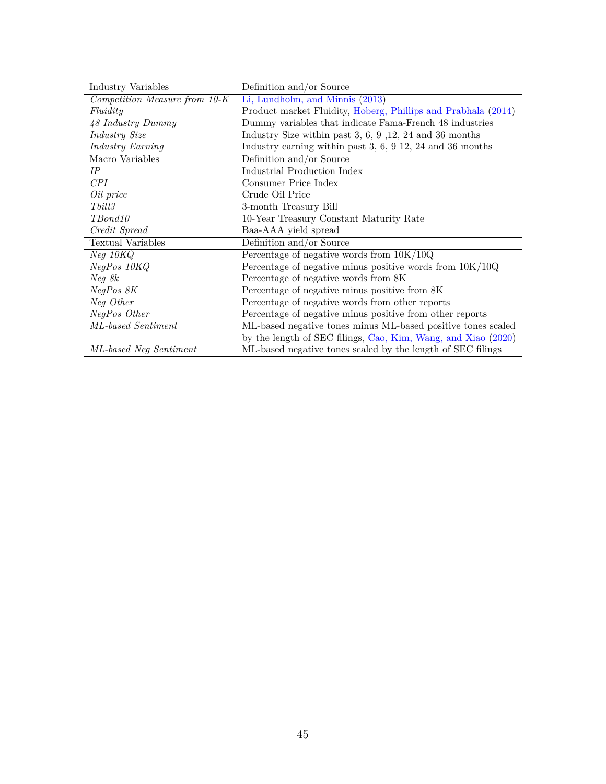| Industry Variables            | Definition and/or Source                                      |
|-------------------------------|---------------------------------------------------------------|
| Competition Measure from 10-K | Li, Lundholm, and Minnis (2013)                               |
| Fluidity                      | Product market Fluidity, Hoberg, Phillips and Prabhala (2014) |
| 48 Industry Dummy             | Dummy variables that indicate Fama-French 48 industries       |
| Industry Size                 | Industry Size within past $3, 6, 9, 12, 24$ and $36$ months   |
| Industry Earning              | Industry earning within past $3, 6, 9, 12, 24, 36$ months     |
| Macro Variables               | Definition and/or Source                                      |
| IP                            | Industrial Production Index                                   |
| CPI                           | Consumer Price Index                                          |
| Oil price                     | Crude Oil Price                                               |
| Tbill3                        | 3-month Treasury Bill                                         |
| TBond10                       | 10-Year Treasury Constant Maturity Rate                       |
| Credit Spread                 | Baa-AAA yield spread                                          |
| <b>Textual Variables</b>      | Definition and/or Source                                      |
| Neg~10KQ                      | Percentage of negative words from $10K/10Q$                   |
| NegPos 10KQ                   | Percentage of negative minus positive words from $10K/10Q$    |
| Neg 8k                        | Percentage of negative words from 8K                          |
| NegPos 8K                     | Percentage of negative minus positive from 8K                 |
| Neg Other                     | Percentage of negative words from other reports               |
| NegPos Other                  | Percentage of negative minus positive from other reports      |
| ML-based Sentiment            | ML-based negative tones minus ML-based positive tones scaled  |
|                               | by the length of SEC filings, Cao, Kim, Wang, and Xiao (2020) |
| ML-based Neg Sentiment        | ML-based negative tones scaled by the length of SEC filings   |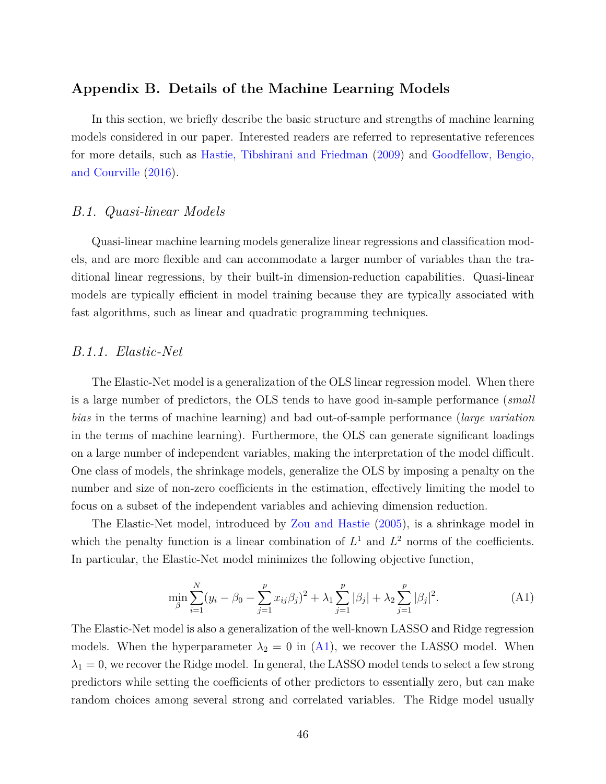# **Appendix B. Details of the Machine Learning Models**

In this section, we briefly describe the basic structure and strengths of machine learning models considered in our paper. Interested readers are referred to representative references for more details, such as [Hastie, Tibshirani and Friedman](#page-29-6) [\(2009\)](#page-29-6) and [Goodfellow, Bengio,](#page-28-9) [and Courville](#page-28-9) [\(2016\)](#page-28-9).

## *B.1. Quasi-linear Models*

Quasi-linear machine learning models generalize linear regressions and classification models, and are more flexible and can accommodate a larger number of variables than the traditional linear regressions, by their built-in dimension-reduction capabilities. Quasi-linear models are typically efficient in model training because they are typically associated with fast algorithms, such as linear and quadratic programming techniques.

### *B.1.1. Elastic-Net*

The Elastic-Net model is a generalization of the OLS linear regression model. When there is a large number of predictors, the OLS tends to have good in-sample performance (*small bias* in the terms of machine learning) and bad out-of-sample performance (*large variation* in the terms of machine learning). Furthermore, the OLS can generate significant loadings on a large number of independent variables, making the interpretation of the model difficult. One class of models, the shrinkage models, generalize the OLS by imposing a penalty on the number and size of non-zero coefficients in the estimation, effectively limiting the model to focus on a subset of the independent variables and achieving dimension reduction.

The Elastic-Net model, introduced by [Zou and Hastie](#page-31-10) [\(2005\)](#page-31-10), is a shrinkage model in which the penalty function is a linear combination of  $L^1$  and  $L^2$  norms of the coefficients. In particular, the Elastic-Net model minimizes the following objective function,

<span id="page-47-0"></span>
$$
\min_{\beta} \sum_{i=1}^{N} (y_i - \beta_0 - \sum_{j=1}^{p} x_{ij} \beta_j)^2 + \lambda_1 \sum_{j=1}^{p} |\beta_j| + \lambda_2 \sum_{j=1}^{p} |\beta_j|^2.
$$
 (A1)

The Elastic-Net model is also a generalization of the well-known LASSO and Ridge regression models. When the hyperparameter  $\lambda_2 = 0$  in [\(A1\)](#page-47-0), we recover the LASSO model. When  $\lambda_1 = 0$ , we recover the Ridge model. In general, the LASSO model tends to select a few strong predictors while setting the coefficients of other predictors to essentially zero, but can make random choices among several strong and correlated variables. The Ridge model usually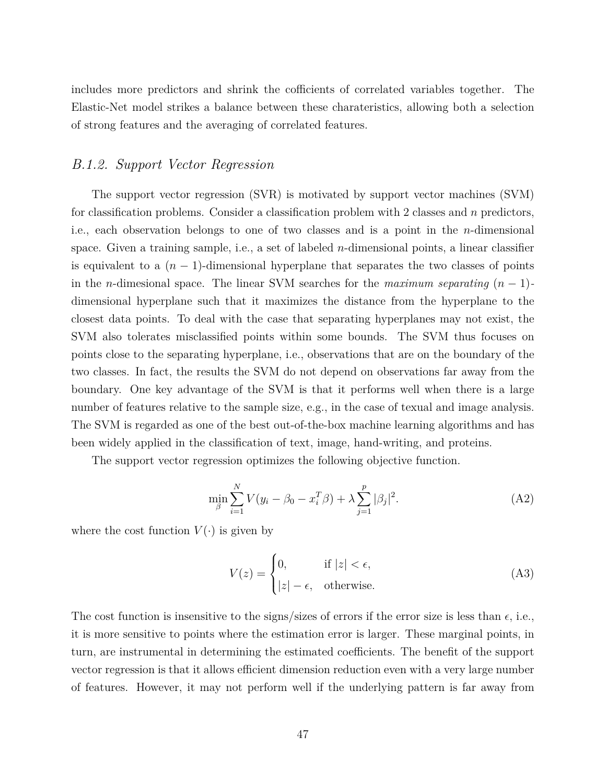includes more predictors and shrink the cofficients of correlated variables together. The Elastic-Net model strikes a balance between these charateristics, allowing both a selection of strong features and the averaging of correlated features.

# *B.1.2. Support Vector Regression*

The support vector regression (SVR) is motivated by support vector machines (SVM) for classification problems. Consider a classification problem with 2 classes and *n* predictors, i.e., each observation belongs to one of two classes and is a point in the *n*-dimensional space. Given a training sample, i.e., a set of labeled *n*-dimensional points, a linear classifier is equivalent to a  $(n-1)$ -dimensional hyperplane that separates the two classes of points in the *n*-dimesional space. The linear SVM searches for the *maximum separating* (*n* − 1) dimensional hyperplane such that it maximizes the distance from the hyperplane to the closest data points. To deal with the case that separating hyperplanes may not exist, the SVM also tolerates misclassified points within some bounds. The SVM thus focuses on points close to the separating hyperplane, i.e., observations that are on the boundary of the two classes. In fact, the results the SVM do not depend on observations far away from the boundary. One key advantage of the SVM is that it performs well when there is a large number of features relative to the sample size, e.g., in the case of texual and image analysis. The SVM is regarded as one of the best out-of-the-box machine learning algorithms and has been widely applied in the classification of text, image, hand-writing, and proteins.

The support vector regression optimizes the following objective function.

$$
\min_{\beta} \sum_{i=1}^{N} V(y_i - \beta_0 - x_i^T \beta) + \lambda \sum_{j=1}^{p} |\beta_j|^2.
$$
 (A2)

where the cost function  $V(\cdot)$  is given by

$$
V(z) = \begin{cases} 0, & \text{if } |z| < \epsilon, \\ |z| - \epsilon, & \text{otherwise.} \end{cases} \tag{A3}
$$

The cost function is insensitive to the signs/sizes of errors if the error size is less than  $\epsilon$ , i.e., it is more sensitive to points where the estimation error is larger. These marginal points, in turn, are instrumental in determining the estimated coefficients. The benefit of the support vector regression is that it allows efficient dimension reduction even with a very large number of features. However, it may not perform well if the underlying pattern is far away from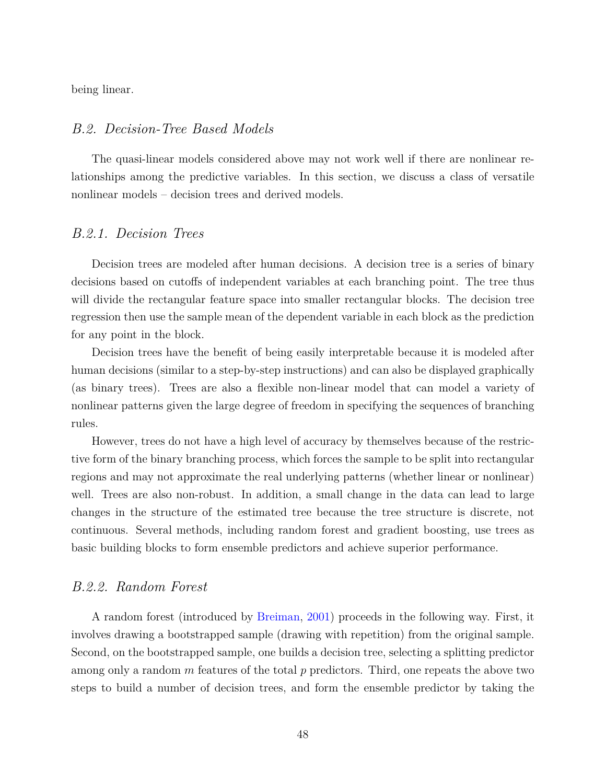being linear.

# *B.2. Decision-Tree Based Models*

The quasi-linear models considered above may not work well if there are nonlinear relationships among the predictive variables. In this section, we discuss a class of versatile nonlinear models – decision trees and derived models.

## *B.2.1. Decision Trees*

Decision trees are modeled after human decisions. A decision tree is a series of binary decisions based on cutoffs of independent variables at each branching point. The tree thus will divide the rectangular feature space into smaller rectangular blocks. The decision tree regression then use the sample mean of the dependent variable in each block as the prediction for any point in the block.

Decision trees have the benefit of being easily interpretable because it is modeled after human decisions (similar to a step-by-step instructions) and can also be displayed graphically (as binary trees). Trees are also a flexible non-linear model that can model a variety of nonlinear patterns given the large degree of freedom in specifying the sequences of branching rules.

However, trees do not have a high level of accuracy by themselves because of the restrictive form of the binary branching process, which forces the sample to be split into rectangular regions and may not approximate the real underlying patterns (whether linear or nonlinear) well. Trees are also non-robust. In addition, a small change in the data can lead to large changes in the structure of the estimated tree because the tree structure is discrete, not continuous. Several methods, including random forest and gradient boosting, use trees as basic building blocks to form ensemble predictors and achieve superior performance.

## *B.2.2. Random Forest*

A random forest (introduced by [Breiman,](#page-27-11) [2001\)](#page-27-11) proceeds in the following way. First, it involves drawing a bootstrapped sample (drawing with repetition) from the original sample. Second, on the bootstrapped sample, one builds a decision tree, selecting a splitting predictor among only a random *m* features of the total *p* predictors. Third, one repeats the above two steps to build a number of decision trees, and form the ensemble predictor by taking the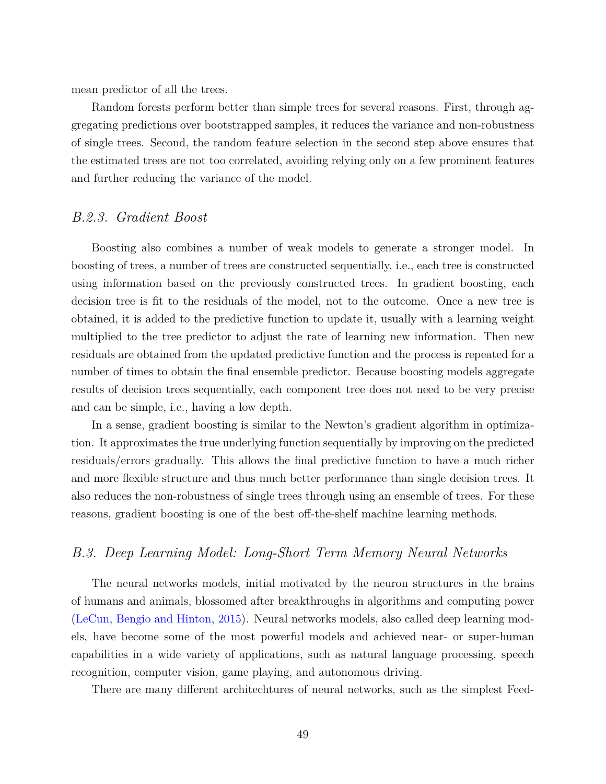mean predictor of all the trees.

Random forests perform better than simple trees for several reasons. First, through aggregating predictions over bootstrapped samples, it reduces the variance and non-robustness of single trees. Second, the random feature selection in the second step above ensures that the estimated trees are not too correlated, avoiding relying only on a few prominent features and further reducing the variance of the model.

# *B.2.3. Gradient Boost*

Boosting also combines a number of weak models to generate a stronger model. In boosting of trees, a number of trees are constructed sequentially, i.e., each tree is constructed using information based on the previously constructed trees. In gradient boosting, each decision tree is fit to the residuals of the model, not to the outcome. Once a new tree is obtained, it is added to the predictive function to update it, usually with a learning weight multiplied to the tree predictor to adjust the rate of learning new information. Then new residuals are obtained from the updated predictive function and the process is repeated for a number of times to obtain the final ensemble predictor. Because boosting models aggregate results of decision trees sequentially, each component tree does not need to be very precise and can be simple, i.e., having a low depth.

In a sense, gradient boosting is similar to the Newton's gradient algorithm in optimization. It approximates the true underlying function sequentially by improving on the predicted residuals/errors gradually. This allows the final predictive function to have a much richer and more flexible structure and thus much better performance than single decision trees. It also reduces the non-robustness of single trees through using an ensemble of trees. For these reasons, gradient boosting is one of the best off-the-shelf machine learning methods.

## *B.3. Deep Learning Model: Long-Short Term Memory Neural Networks*

The neural networks models, initial motivated by the neuron structures in the brains of humans and animals, blossomed after breakthroughs in algorithms and computing power [\(LeCun, Bengio and Hinton,](#page-29-12) [2015\)](#page-29-12). Neural networks models, also called deep learning models, have become some of the most powerful models and achieved near- or super-human capabilities in a wide variety of applications, such as natural language processing, speech recognition, computer vision, game playing, and autonomous driving.

There are many different architechtures of neural networks, such as the simplest Feed-